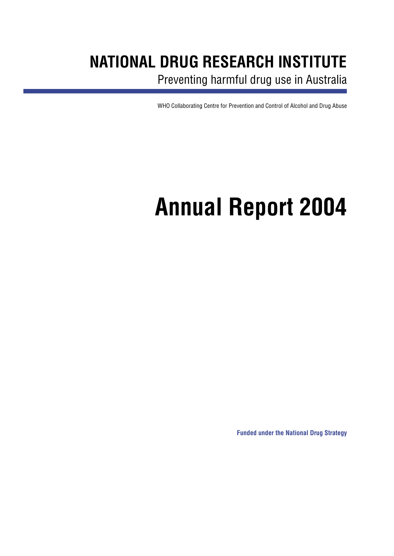## **NATIONAL DRUG RESEARCH INSTITUTE**

Preventing harmful drug use in Australia

WHO Collaborating Centre for Prevention and Control of Alcohol and Drug Abuse

# **Annual Report 2004**

**Funded under the National Drug Strategy**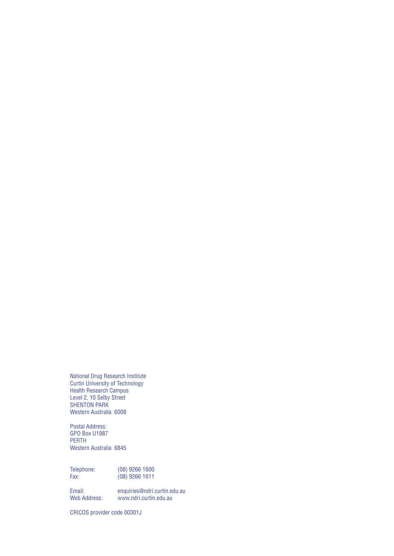National Drug Research Institute Curtin University of Technology Health Research Campus Level 2, 10 Selby Street SHENTON PARK Western Australia 6008

Postal Address: GPO Box U1987 PERTH Western Australia 6845

Telephone: (08) 9266 1600 Fax: (08) 9266 1611

Email: enquiries@ndri.curtin.edu.au www.ndri.curtin.edu.au

CRICOS provider code 00301J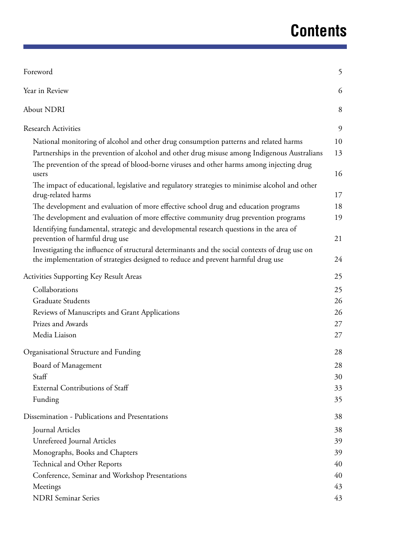# **Contents**

| Foreword                                                                                                             | 5  |
|----------------------------------------------------------------------------------------------------------------------|----|
| Year in Review                                                                                                       | 6  |
| About NDRI                                                                                                           | 8  |
| <b>Research Activities</b>                                                                                           | 9  |
| National monitoring of alcohol and other drug consumption patterns and related harms                                 | 10 |
| Partnerships in the prevention of alcohol and other drug misuse among Indigenous Australians                         | 13 |
| The prevention of the spread of blood-borne viruses and other harms among injecting drug<br>users                    | 16 |
| The impact of educational, legislative and regulatory strategies to minimise alcohol and other<br>drug-related harms | 17 |
| The development and evaluation of more effective school drug and education programs                                  | 18 |
| The development and evaluation of more effective community drug prevention programs                                  | 19 |
| Identifying fundamental, strategic and developmental research questions in the area of                               |    |
| prevention of harmful drug use                                                                                       | 21 |
| Investigating the influence of structural determinants and the social contexts of drug use on                        |    |
| the implementation of strategies designed to reduce and prevent harmful drug use                                     | 24 |
| <b>Activities Supporting Key Result Areas</b>                                                                        | 25 |
| Collaborations                                                                                                       | 25 |
| <b>Graduate Students</b>                                                                                             | 26 |
| Reviews of Manuscripts and Grant Applications                                                                        | 26 |
| Prizes and Awards                                                                                                    | 27 |
| Media Liaison                                                                                                        | 27 |
| Organisational Structure and Funding                                                                                 | 28 |
| Board of Management                                                                                                  | 28 |
| Staff                                                                                                                | 30 |
| <b>External Contributions of Staff</b>                                                                               | 33 |
| Funding                                                                                                              | 35 |
| Dissemination - Publications and Presentations                                                                       | 38 |
| Journal Articles                                                                                                     | 38 |
| Unrefereed Journal Articles                                                                                          | 39 |
| Monographs, Books and Chapters                                                                                       | 39 |
| Technical and Other Reports                                                                                          | 40 |
| Conference, Seminar and Workshop Presentations                                                                       | 40 |
| Meetings                                                                                                             | 43 |
| <b>NDRI</b> Seminar Series                                                                                           | 43 |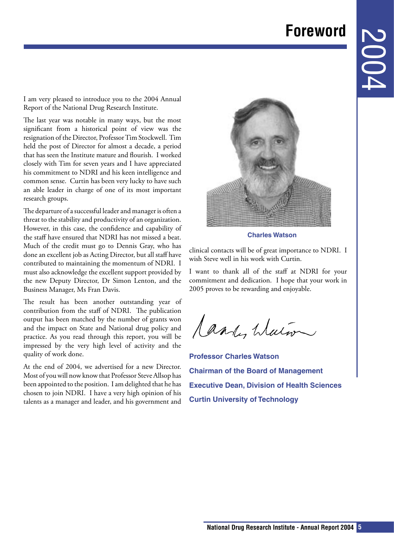## **Foreword**

<span id="page-4-0"></span>I am very pleased to introduce you to the 2004 Annual Report of the National Drug Research Institute.

The last year was notable in many ways, but the most significant from a historical point of view was the resignation of the Director, Professor Tim Stockwell. Tim held the post of Director for almost a decade, a period that has seen the Institute mature and flourish. I worked closely with Tim for seven years and I have appreciated his commitment to NDRI and his keen intelligence and common sense. Curtin has been very lucky to have such an able leader in charge of one of its most important research groups.

The departure of a successful leader and manager is often a threat to the stability and productivity of an organization. However, in this case, the confidence and capability of the staff have ensured that NDRI has not missed a beat. Much of the credit must go to Dennis Gray, who has done an excellent job as Acting Director, but all staff have contributed to maintaining the momentum of NDRI. I must also acknowledge the excellent support provided by the new Deputy Director, Dr Simon Lenton, and the Business Manager, Ms Fran Davis.

The result has been another outstanding year of contribution from the staff of NDRI. The publication output has been matched by the number of grants won and the impact on State and National drug policy and practice. As you read through this report, you will be impressed by the very high level of activity and the quality of work done.

At the end of 2004, we advertised for a new Director. Most of you will now know that Professor Steve Allsop has been appointed to the position. I am delighted that he has chosen to join NDRI. I have a very high opinion of his talents as a manager and leader, and his government and



**Charles Watson**

clinical contacts will be of great importance to NDRI. I wish Steve well in his work with Curtin.

I want to thank all of the staff at NDRI for your commitment and dedication. I hope that your work in 2005 proves to be rewarding and enjoyable.

Candy Water

**Professor Charles Watson Chairman of the Board of Management Executive Dean, Division of Health Sciences Curtin University of Technology**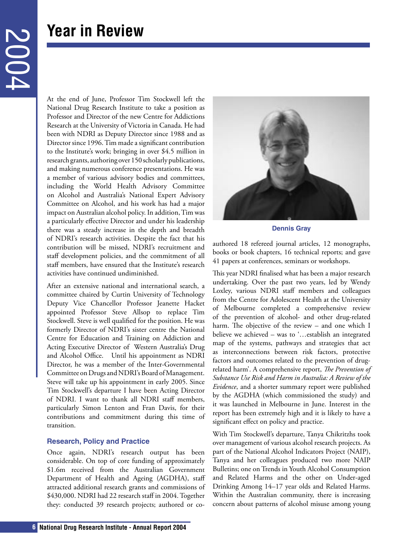## <span id="page-5-0"></span>**Year in Review**

At the end of June, Professor Tim Stockwell left the National Drug Research Institute to take a position as Professor and Director of the new Centre for Addictions Research at the University of Victoria in Canada. He had been with NDRI as Deputy Director since 1988 and as Director since 1996. Tim made a significant contribution to the Institute's work; bringing in over \$4.5 million in research grants, authoring over 150 scholarly publications, and making numerous conference presentations. He was a member of various advisory bodies and committees, including the World Health Advisory Committee on Alcohol and Australia's National Expert Advisory Committee on Alcohol, and his work has had a major impact on Australian alcohol policy. In addition, Tim was a particularly effective Director and under his leadership there was a steady increase in the depth and breadth of NDRI's research activities. Despite the fact that his contribution will be missed, NDRI's recruitment and staff development policies, and the commitment of all staff members, have ensured that the Institute's research activities have continued undiminished.

After an extensive national and international search, a committee chaired by Curtin University of Technology Deputy Vice Chancellor Professor Jeanette Hacket appointed Professor Steve Allsop to replace Tim Stockwell. Steve is well qualified for the position. He was formerly Director of NDRI's sister centre the National Centre for Education and Training on Addiction and Acting Executive Director of Western Australia's Drug and Alcohol Office. Until his appointment as NDRI Director, he was a member of the Inter-Governmental Committee on Drugs and NDRI's Board of Management. Steve will take up his appointment in early 2005. Since Tim Stockwell's departure I have been Acting Director of NDRI. I want to thank all NDRI staff members, particularly Simon Lenton and Fran Davis, for their contributions and commitment during this time of transition.

### **Research, Policy and Practice**

Once again, NDRI's research output has been considerable. On top of core funding of approximately \$1.6m received from the Australian Government Department of Health and Ageing (AGDHA), staff attracted additional research grants and commissions of \$430,000. NDRI had 22 research staff in 2004. Together they: conducted 39 research projects; authored or co-



**Dennis Gray**

authored 18 refereed journal articles, 12 monographs, books or book chapters, 16 technical reports; and gave 41 papers at conferences, seminars or workshops.

This year NDRI finalised what has been a major research undertaking. Over the past two years, led by Wendy Loxley, various NDRI staff members and colleagues from the Centre for Adolescent Health at the University of Melbourne completed a comprehensive review of the prevention of alcohol- and other drug-related harm. The objective of the review – and one which I believe we achieved – was to '…establish an integrated map of the systems, pathways and strategies that act as interconnections between risk factors, protective factors and outcomes related to the prevention of drugrelated harm'. A comprehensive report, *The Prevention of Substance Use Risk and Harm in Australia: A Review of the Evidence*, and a shorter summary report were published by the AGDHA (which commissioned the study) and it was launched in Melbourne in June. Interest in the report has been extremely high and it is likely to have a significant effect on policy and practice.

With Tim Stockwell's departure, Tanya Chikritzhs took over management of various alcohol research projects. As part of the National Alcohol Indicators Project (NAIP), Tanya and her colleagues produced two more NAIP Bulletins; one on Trends in Youth Alcohol Consumption and Related Harms and the other on Under-aged Drinking Among 14–17 year olds and Related Harms. Within the Australian community, there is increasing concern about patterns of alcohol misuse among young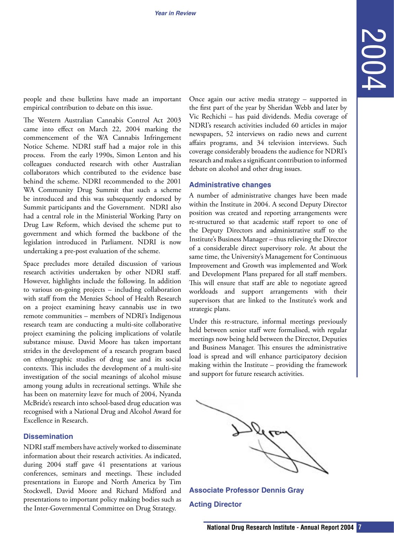people and these bulletins have made an important empirical contribution to debate on this issue.

The Western Australian Cannabis Control Act 2003 came into effect on March 22, 2004 marking the commencement of the WA Cannabis Infringement Notice Scheme. NDRI staff had a major role in this process. From the early 1990s, Simon Lenton and his colleagues conducted research with other Australian collaborators which contributed to the evidence base behind the scheme. NDRI recommended to the 2001 WA Community Drug Summit that such a scheme be introduced and this was subsequently endorsed by Summit participants and the Government. NDRI also had a central role in the Ministerial Working Party on Drug Law Reform, which devised the scheme put to government and which formed the backbone of the legislation introduced in Parliament. NDRI is now undertaking a pre-post evaluation of the scheme.

Space precludes more detailed discussion of various research activities undertaken by other NDRI staff. However, highlights include the following. In addition to various on-going projects – including collaboration with staff from the Menzies School of Health Research on a project examining heavy cannabis use in two remote communities – members of NDRI's Indigenous research team are conducting a multi-site collaborative project examining the policing implications of volatile substance misuse. David Moore has taken important strides in the development of a research program based on ethnographic studies of drug use and its social contexts. This includes the development of a multi-site investigation of the social meanings of alcohol misuse among young adults in recreational settings. While she has been on maternity leave for much of 2004, Nyanda McBride's research into school-based drug education was recognised with a National Drug and Alcohol Award for Excellence in Research.

### **Dissemination**

NDRI staff members have actively worked to disseminate information about their research activities. As indicated, during 2004 staff gave 41 presentations at various conferences, seminars and meetings. These included presentations in Europe and North America by Tim Stockwell, David Moore and Richard Midford and presentations to important policy making bodies such as the Inter-Governmental Committee on Drug Strategy.

Once again our active media strategy – supported in the first part of the year by Sheridan Webb and later by Vic Rechichi – has paid dividends. Media coverage of NDRI's research activities included 60 articles in major newspapers, 52 interviews on radio news and current affairs programs, and 34 television interviews. Such coverage considerably broadens the audience for NDRI's research and makes a significant contribution to informed debate on alcohol and other drug issues.

#### **Administrative changes**

A number of administrative changes have been made within the Institute in 2004. A second Deputy Director position was created and reporting arrangements were re-structured so that academic staff report to one of the Deputy Directors and administrative staff to the Institute's Business Manager – thus relieving the Director of a considerable direct supervisory role. At about the same time, the University's Management for Continuous Improvement and Growth was implemented and Work and Development Plans prepared for all staff members. This will ensure that staff are able to negotiate agreed workloads and support arrangements with their supervisors that are linked to the Institute's work and strategic plans.

Under this re-structure, informal meetings previously held between senior staff were formalised, with regular meetings now being held between the Director, Deputies and Business Manager. This ensures the administrative load is spread and will enhance participatory decision making within the Institute – providing the framework and support for future research activities.



**Associate Professor Dennis Gray Acting Director**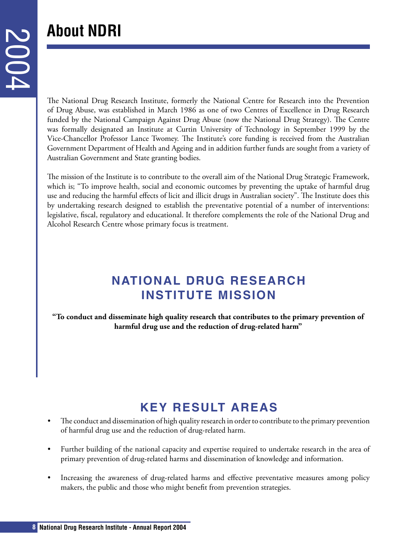# <span id="page-7-0"></span>**About NDRI**

The National Drug Research Institute, formerly the National Centre for Research into the Prevention of Drug Abuse, was established in March 1986 as one of two Centres of Excellence in Drug Research funded by the National Campaign Against Drug Abuse (now the National Drug Strategy). The Centre was formally designated an Institute at Curtin University of Technology in September 1999 by the Vice-Chancellor Professor Lance Twomey. The Institute's core funding is received from the Australian Government Department of Health and Ageing and in addition further funds are sought from a variety of Australian Government and State granting bodies.

The mission of the Institute is to contribute to the overall aim of the National Drug Strategic Framework, which is; "To improve health, social and economic outcomes by preventing the uptake of harmful drug use and reducing the harmful effects of licit and illicit drugs in Australian society". The Institute does this by undertaking research designed to establish the preventative potential of a number of interventions: legislative, fiscal, regulatory and educational. It therefore complements the role of the National Drug and Alcohol Research Centre whose primary focus is treatment.

### **NATIONAL DRUG RESEARCH INSTITUTE MISSION**

**"To conduct and disseminate high quality research that contributes to the primary prevention of harmful drug use and the reduction of drug-related harm"**

## **KEY RESULT AREAS**

- The conduct and dissemination of high quality research in order to contribute to the primary prevention of harmful drug use and the reduction of drug-related harm.
- Further building of the national capacity and expertise required to undertake research in the area of primary prevention of drug-related harms and dissemination of knowledge and information.
- Increasing the awareness of drug-related harms and effective preventative measures among policy makers, the public and those who might benefit from prevention strategies.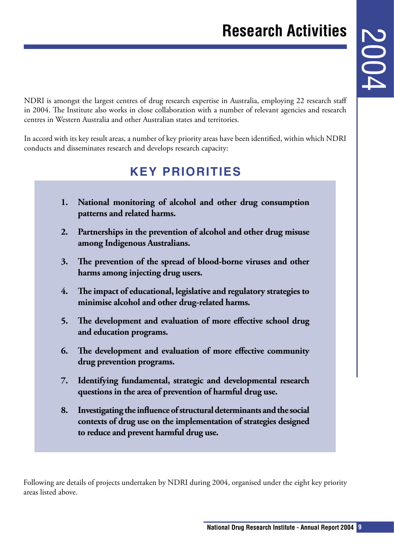<span id="page-8-0"></span>NDRI is amongst the largest centres of drug research expertise in Australia, employing 22 research staff in 2004. The Institute also works in close collaboration with a number of relevant agencies and research centres in Western Australia and other Australian states and territories.

In accord with its key result areas, a number of key priority areas have been identified, within which NDRI conducts and disseminates research and develops research capacity:

### **KEY PRIORITIES**

- **1. National monitoring of alcohol and other drug consumption patterns and related harms.**
- **2. Partnerships in the prevention of alcohol and other drug misuse among Indigenous Australians.**
- **3. The prevention of the spread of blood-borne viruses and other harms among injecting drug users.**
- **4. The impact of educational, legislative and regulatory strategies to minimise alcohol and other drug-related harms.**
- **5. The development and evaluation of more effective school drug and education programs.**
- **6. The development and evaluation of more effective community drug prevention programs.**
- **7. Identifying fundamental, strategic and developmental research questions in the area of prevention of harmful drug use.**
- **8. Investigating the influence of structural determinants and the social contexts of drug use on the implementation of strategies designed to reduce and prevent harmful drug use.**

Following are details of projects undertaken by NDRI during 2004, organised under the eight key priority areas listed above.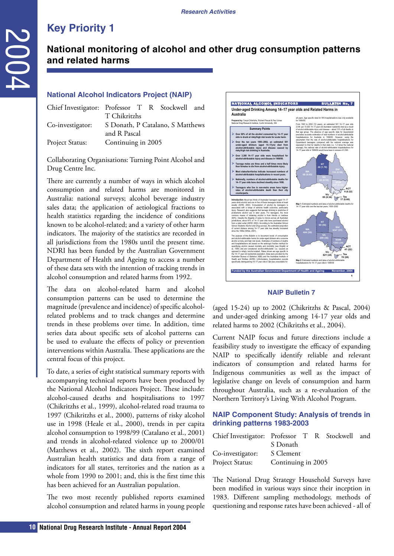### **National monitoring of alcohol and other drug consumption patterns and related harms**

#### **National Alcohol Indicators Project (NAIP)**

| Chief Investigator: Professor T R Stockwell and |                    |  |                                  |  |
|-------------------------------------------------|--------------------|--|----------------------------------|--|
|                                                 | T Chikritzhs       |  |                                  |  |
| Co-investigator:                                |                    |  | S Donath, P Catalano, S Matthews |  |
|                                                 | and R Pascal       |  |                                  |  |
| Project Status:                                 | Continuing in 2005 |  |                                  |  |
|                                                 |                    |  |                                  |  |

Collaborating Organisations: Turning Point Alcohol and Drug Centre Inc.

There are currently a number of ways in which alcohol consumption and related harms are monitored in Australia: national surveys; alcohol beverage industry sales data; the application of aetiological fractions to health statistics regarding the incidence of conditions known to be alcohol-related; and a variety of other harm indicators. The majority of the statistics are recorded in all jurisdictions from the 1980s until the present time. NDRI has been funded by the Australian Government Department of Health and Ageing to access a number of these data sets with the intention of tracking trends in alcohol consumption and related harms from 1992.

The data on alcohol-related harm and alcohol consumption patterns can be used to determine the magnitude (prevalence and incidence) of specific alcoholrelated problems and to track changes and determine trends in these problems over time. In addition, time series data about specific sets of alcohol patterns can be used to evaluate the effects of policy or prevention interventions within Australia. These applications are the central focus of this project.

<span id="page-9-0"></span>**10 National monitoring of alcohol**<br> **2011 National Alcohol Indicators** Project (Wall<br>
Co-investigator: Professor T R Nockwel<br>
Co-investigator: The<br> **10 10 Co-investigator** Christian Schematic Channel Research Inst To date, a series of eight statistical summary reports with accompanying technical reports have been produced by the National Alcohol Indicators Project. These include: alcohol-caused deaths and hospitalisations to 1997 (Chikritzhs et al., 1999), alcohol-related road trauma to 1997 (Chikritzhs et al., 2000), patterns of risky alcohol use in 1998 (Heale et al., 2000), trends in per capita alcohol consumption to 1998/99 (Catalano et al., 2001) and trends in alcohol-related violence up to 2000/01 (Matthews et al., 2002). The sixth report examined Australian health statistics and data from a range of indicators for all states, territories and the nation as a whole from 1990 to 2001; and, this is the first time this has been achieved for an Australian population.

The two most recently published reports examined alcohol consumption and related harms in young people



#### **NAIP Bulletin 7**

(aged 15-24) up to 2002 (Chikritzhs & Pascal, 2004) and under-aged drinking among 14-17 year olds and related harms to 2002 (Chikritzhs et al., 2004).

Current NAIP focus and future directions include a feasibility study to investigate the efficacy of expanding NAIP to specifically identify reliable and relevant indicators of consumption and related harms for Indigenous communities as well as the impact of legislative change on levels of consumption and harm throughout Australia, such as a re-evaluation of the Northern Territory's Living With Alcohol Program.

### **NAIP Component Study: Analysis of trends in drinking patterns 1983-2003**

| Chief Investigator: Professor T R Stockwell and |          |  |  |
|-------------------------------------------------|----------|--|--|
|                                                 | S Donath |  |  |
| Co-investigator: S Clement                      |          |  |  |
| Project Status: Continuing in 2005              |          |  |  |

The National Drug Strategy Household Surveys have been modified in various ways since their inception in 1983. Different sampling methodology, methods of questioning and response rates have been achieved - all of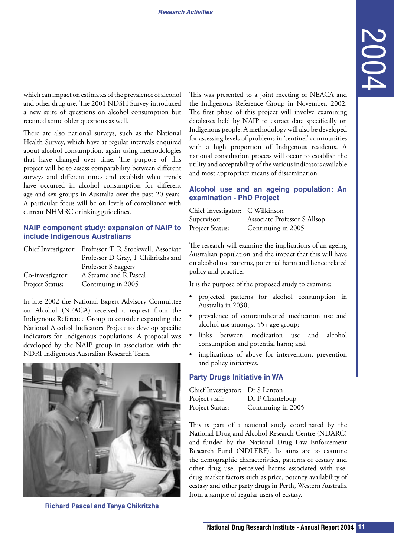which can impact on estimates of the prevalence of alcohol and other drug use. The 2001 NDSH Survey introduced a new suite of questions on alcohol consumption but retained some older questions as well.

There are also national surveys, such as the National Health Survey, which have at regular intervals enquired about alcohol consumption, again using methodologies that have changed over time. The purpose of this project will be to assess comparability between different surveys and different times and establish what trends have occurred in alcohol consumption for different age and sex groups in Australia over the past 20 years. A particular focus will be on levels of compliance with current NHMRC drinking guidelines.

### **NAIP component study: expansion of NAIP to include Indigenous Australians**

|                  | Chief Investigator: Professor T R Stockwell, Associate |
|------------------|--------------------------------------------------------|
|                  | Professor D Gray, T Chikritzhs and                     |
|                  | Professor S Saggers                                    |
| Co-investigator: | A Stearne and R Pascal                                 |
| Project Status:  | Continuing in 2005                                     |

In late 2002 the National Expert Advisory Committee on Alcohol (NEACA) received a request from the Indigenous Reference Group to consider expanding the National Alcohol Indicators Project to develop specific indicators for Indigenous populations. A proposal was developed by the NAIP group in association with the NDRI Indigenous Australian Research Team.



**Richard Pascal and Tanya Chikritzhs** 

**National Drug Research Constrained Constrained Are any server than the phonon spectra of this project will involve canning the phonon spectra and this propertie. A hardshood of the properties in series of the properties a** This was presented to a joint meeting of NEACA and the Indigenous Reference Group in November, 2002. The first phase of this project will involve examining databases held by NAIP to extract data specifically on Indigenous people. A methodology will also be developed for assessing levels of problems in 'sentinel' communities with a high proportion of Indigenous residents. A national consultation process will occur to establish the utility and acceptability of the various indicators available and most appropriate means of dissemination.

### **Alcohol use and an ageing population: An examination - PhD Project**

| Chief Investigator: C Wilkinson |                              |
|---------------------------------|------------------------------|
| Supervisor:                     | Associate Professor S Allsop |
| Project Status:                 | Continuing in 2005           |

The research will examine the implications of an ageing Australian population and the impact that this will have on alcohol use patterns, potential harm and hence related policy and practice.

It is the purpose of the proposed study to examine:

- projected patterns for alcohol consumption in Australia in 2030;
- prevalence of contraindicated medication use and alcohol use amongst 55+ age group;
- links between medication use and alcohol consumption and potential harm; and
- implications of above for intervention, prevention and policy initiatives.

#### **Party Drugs Initiative in WA**

| Chief Investigator: Dr S Lenton |                    |
|---------------------------------|--------------------|
| Project staff:                  | Dr F Chanteloup    |
| Project Status:                 | Continuing in 2005 |

This is part of a national study coordinated by the National Drug and Alcohol Research Centre (NDARC) and funded by the National Drug Law Enforcement Research Fund (NDLERF). Its aims are to examine the demographic characteristics, patterns of ecstasy and other drug use, perceived harms associated with use, drug market factors such as price, potency availability of ecstasy and other party drugs in Perth, Western Australia from a sample of regular users of ecstasy.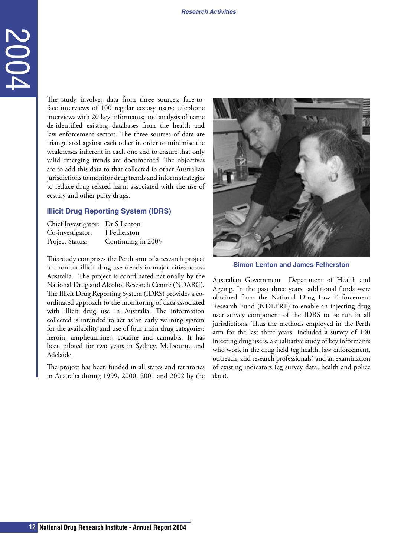The study involves data from three sources: face-toface interviews of 100 regular ecstasy users; telephone interviews with 20 key informants; and analysis of name de-identified existing databases from the health and law enforcement sectors. The three sources of data are triangulated against each other in order to minimise the weaknesses inherent in each one and to ensure that only valid emerging trends are documented. The objectives are to add this data to that collected in other Australian jurisdictions to monitor drug trends and inform strategies to reduce drug related harm associated with the use of ecstasy and other party drugs.

#### **Illicit Drug Reporting System (IDRS)**

| Chief Investigator: Dr S Lenton |                    |
|---------------------------------|--------------------|
| Co-investigator:                | J Fetherston       |
| Project Status:                 | Continuing in 2005 |

**12 In any** involves data from three sources:<br>
face interviews of 100 regular eschap users telds increases in the base of 20 key informants and analysis of the determined pairwas 20 key information and analysis of two co This study comprises the Perth arm of a research project to monitor illicit drug use trends in major cities across Australia. The project is coordinated nationally by the National Drug and Alcohol Research Centre (NDARC). The Illicit Drug Reporting System (IDRS) provides a coordinated approach to the monitoring of data associated with illicit drug use in Australia. The information collected is intended to act as an early warning system for the availability and use of four main drug categories: heroin, amphetamines, cocaine and cannabis. It has been piloted for two years in Sydney, Melbourne and Adelaide.

The project has been funded in all states and territories in Australia during 1999, 2000, 2001 and 2002 by the



**Simon Lenton and James Fetherston**

Australian Government Department of Health and Ageing. In the past three years additional funds were obtained from the National Drug Law Enforcement Research Fund (NDLERF) to enable an injecting drug user survey component of the IDRS to be run in all jurisdictions. Thus the methods employed in the Perth arm for the last three years included a survey of 100 injecting drug users, a qualitative study of key informants who work in the drug field (eg health, law enforcement, outreach, and research professionals) and an examination of existing indicators (eg survey data, health and police data).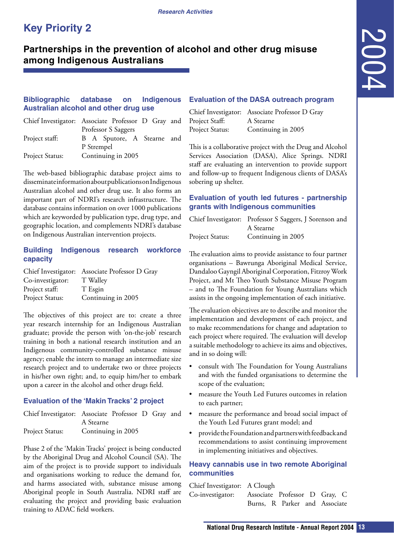### <span id="page-12-0"></span>**Partnerships in the prevention of alcohol and other drug misuse among Indigenous Australians**

### **Bibliographic database on Indigenous Evaluation of the DASA outreach program Australian alcohol and other drug use**

|                 | Chief Investigator: Associate Professor D Gray and |  |
|-----------------|----------------------------------------------------|--|
|                 | Professor S Saggers                                |  |
| Project staff:  | B A Sputore, A Stearne and                         |  |
|                 | P Strempel                                         |  |
| Project Status: | Continuing in 2005                                 |  |

The web-based bibliographic database project aims to disseminate information about publications on Indigenous Australian alcohol and other drug use. It also forms an important part of NDRI's research infrastructure. The database contains information on over 1000 publications which are keyworded by publication type, drug type, and geographic location, and complements NDRI's database on Indigenous Australian intervention projects.

### **Building Indigenous research workforce capacity**

|                  | Chief Investigator: Associate Professor D Gray |
|------------------|------------------------------------------------|
| Co-investigator: | T Walley                                       |
| Project staff:   | T Esgin                                        |
| Project Status:  | Continuing in 2005                             |

The objectives of this project are to: create a three year research internship for an Indigenous Australian graduate; provide the person with 'on-the-job' research training in both a national research institution and an Indigenous community-controlled substance misuse agency; enable the intern to manage an intermediate size research project and to undertake two or three projects in his/her own right; and, to equip him/her to embark upon a career in the alcohol and other drugs field.

### **Evaluation of the 'Makin Tracks' 2 project**

| Chief Investigator: Associate Professor D Gray and |           |  |  |
|----------------------------------------------------|-----------|--|--|
|                                                    | A Stearne |  |  |
| Project Status: Continuing in 2005                 |           |  |  |

Phase 2 of the 'Makin Tracks' project is being conducted by the Aboriginal Drug and Alcohol Council (SA). The aim of the project is to provide support to individuals and organisations working to reduce the demand for, and harms associated with, substance misuse among Aboriginal people in South Australia. NDRI staff are evaluating the project and providing basic evaluation training to ADAC field workers.

|                 | Chief Investigator: Associate Professor D Gray |
|-----------------|------------------------------------------------|
| Project Staff:  | A Stearne                                      |
| Project Status: | Continuing in 2005                             |

This is a collaborative project with the Drug and Alcohol Services Association (DASA), Alice Springs. NDRI staff are evaluating an intervention to provide support and follow-up to frequent Indigenous clients of DASA's sobering up shelter.

### **Evaluation of youth led futures - partnership grants with Indigenous communities**

|                 | Chief Investigator: Professor S Saggers, J Sorenson and |
|-----------------|---------------------------------------------------------|
|                 | A Stearne                                               |
| Project Status: | Continuing in 2005                                      |

The evaluation aims to provide assistance to four partner organisations – Bawrunga Aboriginal Medical Service, Dandaloo Gayngil Aboriginal Corporation, Fitzroy Work Project, and Mt Theo Youth Substance Misuse Program – and to The Foundation for Young Australians which assists in the ongoing implementation of each initiative.

**Nation of the DASA outreach program**<br>
Investigator: Associate Professor D Gray<br>
Investigation: Associate Professor D Gray<br>
1834: Statistic A Steame<br>
Cominiumg in 2005<br>
a Basociation (DASA), Alice Springs. NDRI<br>
Institute The evaluation objectives are to describe and monitor the implementation and development of each project, and to make recommendations for change and adaptation to each project where required. The evaluation will develop a suitable methodology to achieve its aims and objectives, and in so doing will:

- consult with The Foundation for Young Australians and with the funded organisations to determine the scope of the evaluation;
- measure the Youth Led Futures outcomes in relation to each partner;
- measure the performance and broad social impact of the Youth Led Futures grant model; and
- provide the Foundation and partners with feedback and recommendations to assist continuing improvement in implementing initiatives and objectives.

### **Heavy cannabis use in two remote Aboriginal communities**

| Chief Investigator: A Clough                   |  |                               |  |  |
|------------------------------------------------|--|-------------------------------|--|--|
| Co-investigator: Associate Professor D Gray, C |  |                               |  |  |
|                                                |  | Burns, R Parker and Associate |  |  |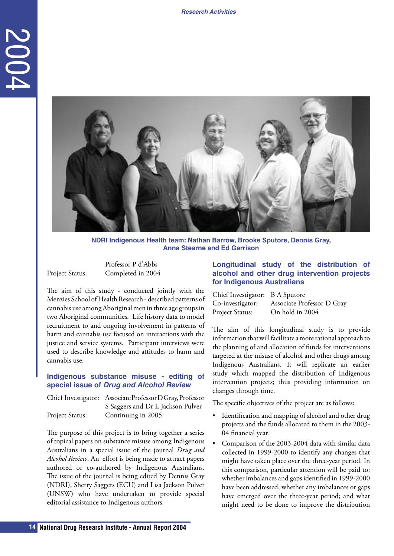

**NDRI Indigenous Health team: Nathan Barrow, Brooke Sputore, Dennis Gray, Anna Stearne and Ed Garrison**

Professor P d'Abbs Project Status: Completed in 2004

The aim of this study - conducted jointly with the Menzies School of Health Research - described patterns of cannabis use among Aboriginal men in three age groups in two Aboriginal communities. Life history data to model recruitment to and ongoing involvement in patterns of harm and cannabis use focused on interactions with the justice and service systems. Participant interviews were used to describe knowledge and attitudes to harm and cannabis use.

### **Indigenous substance misuse - editing of special issue of Drug and Alcohol Review**

|                 | Chief Investigator: Associate Professor D Gray, Professor |
|-----------------|-----------------------------------------------------------|
|                 | S Saggers and Dr L Jackson Pulver                         |
| Project Status: | Continuing in 2005                                        |

The purpose of this project is to bring together a series of topical papers on substance misuse among Indigenous Australians in a special issue of the journal *Drug and Alcohol Review*. An effort is being made to attract papers authored or co-authored by Indigenous Australians. The issue of the journal is being edited by Dennis Gray (NDRI), Sherry Saggers (ECU) and Lisa Jackson Pulver (UNSW) who have undertaken to provide special editorial assistance to Indigenous authors.

### **Longitudinal study of the distribution of alcohol and other drug intervention projects for Indigenous Australians**

| Chief Investigator: B A Sputore |                            |
|---------------------------------|----------------------------|
| Co-investigator:                | Associate Professor D Gray |
| Project Status:                 | On hold in 2004            |

The aim of this longitudinal study is to provide information that will facilitate a more rational approach to the planning of and allocation of funds for interventions targeted at the misuse of alcohol and other drugs among Indigenous Australians. It will replicate an earlier study which mapped the distribution of Indigenous intervention projects; thus providing information on changes through time.

The specific objectives of the project are as follows:

- Identification and mapping of alcohol and other drug projects and the funds allocated to them in the 2003- 04 financial year.
- Comparison of the 2003-2004 data with similar data collected in 1999-2000 to identify any changes that might have taken place over the three-year period. In this comparison, particular attention will be paid to: whether imbalances and gaps identified in 1999-2000 have been addressed; whether any imbalances or gaps have emerged over the three-year period; and what might need to be done to improve the distribution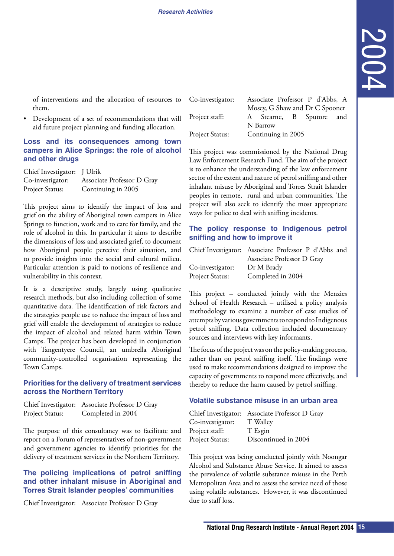of interventions and the allocation of resources to them.

• Development of a set of recommendations that will aid future project planning and funding allocation.

### **Loss and its consequences among town campers in Alice Springs: the role of alcohol and other drugs**

| Chief Investigator: J Ulrik |                            |
|-----------------------------|----------------------------|
| Co-investigator:            | Associate Professor D Gray |
| Project Status:             | Continuing in 2005         |

This project aims to identify the impact of loss and grief on the ability of Aboriginal town campers in Alice Springs to function, work and to care for family, and the role of alcohol in this. In particular it aims to describe the dimensions of loss and associated grief, to document how Aboriginal people perceive their situation, and to provide insights into the social and cultural milieu. Particular attention is paid to notions of resilience and vulnerability in this context.

It is a descriptive study, largely using qualitative research methods, but also including collection of some quantitative data. The identification of risk factors and the strategies people use to reduce the impact of loss and grief will enable the development of strategies to reduce the impact of alcohol and related harm within Town Camps. The project has been developed in conjunction with Tangentyere Council, an umbrella Aboriginal community-controlled organisation representing the Town Camps.

### **Priorities for the delivery of treatment services across the Northern Territory**

Chief Investigator: Associate Professor D Gray Project Status: Completed in 2004

The purpose of this consultancy was to facilitate and report on a Forum of representatives of non-government and government agencies to identify priorities for the delivery of treatment services in the Northern Territory.

### **The policing implications of petrol sniffing and other inhalant misuse in Aboriginal and Torres Strait Islander peoples' communities**

Chief Investigator: Associate Professor D Gray

| Co-investigator: |          | Associate Professor P d'Abbs, A |  |  |
|------------------|----------|---------------------------------|--|--|
|                  |          | Mosey, G Shaw and Dr C Spooner  |  |  |
| Project staff:   |          | A Stearne, B Sputore and        |  |  |
|                  | N Barrow |                                 |  |  |
| Project Status:  |          | Continuing in 2005              |  |  |

vestigator: Associate Professor P d'Abbs A<br>Mosey, G Shaw and Dr C Spooner<br>1948. Nature. A Stearne, B Spurone and<br>1940 Nature Continuing in 2005<br>1961 twas commissioned by the National Drug<br>1620 transfer and nature of percol This project was commissioned by the National Drug Law Enforcement Research Fund. The aim of the project is to enhance the understanding of the law enforcement sector of the extent and nature of petrol sniffing and other inhalant misuse by Aboriginal and Torres Strait Islander peoples in remote, rural and urban communities. The project will also seek to identify the most appropriate ways for police to deal with sniffing incidents.

### **The policy response to Indigenous petrol sniffing and how to improve it**

|                        | Chief Investigator: Associate Professor P d'Abbs and |
|------------------------|------------------------------------------------------|
|                        | Associate Professor D Gray                           |
| Co-investigator:       | Dr M Brady                                           |
| <b>Project Status:</b> | Completed in 2004                                    |

This project – conducted jointly with the Menzies School of Health Research – utilised a policy analysis methodology to examine a number of case studies of attempts by various governments to respond to Indigenous petrol sniffing. Data collection included documentary sources and interviews with key informants.

The focus of the project was on the policy-making process, rather than on petrol sniffing itself. The findings were used to make recommendations designed to improve the capacity of governments to respond more effectively, and thereby to reduce the harm caused by petrol sniffing.

### **Volatile substance misuse in an urban area**

|                  | Chief Investigator: Associate Professor D Gray |
|------------------|------------------------------------------------|
| Co-investigator: | T Walley                                       |
| Project staff:   | T Esgin                                        |
| Project Status:  | Discontinued in 2004                           |

This project was being conducted jointly with Noongar Alcohol and Substance Abuse Service. It aimed to assess the prevalence of volatile substance misuse in the Perth Metropolitan Area and to assess the service need of those using volatile substances. However, it was discontinued due to staff loss.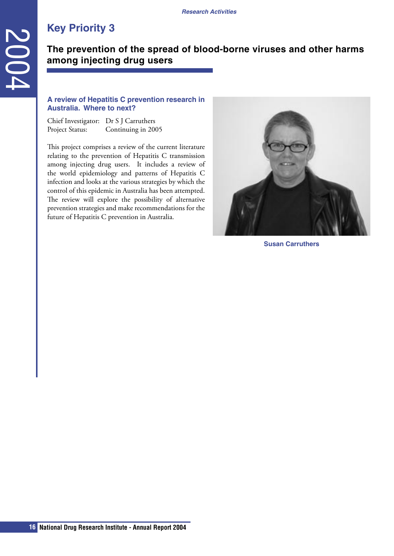### **The prevention of the spread of blood-borne viruses and other harms among injecting drug users**

### **A review of Hepatitis C prevention research in Australia. Where to next?**

Chief Investigator: Dr S J Carruthers Project Status: Continuing in 2005

<span id="page-15-0"></span>**16 16 16 16 Constant Constant Constant Constant Constant Constant Constant Constant Constant Constant Constant Constant Constant Constant Constant Constant Constant Constant Constant Constant Constant Constant Con** This project comprises a review of the current literature relating to the prevention of Hepatitis C transmission among injecting drug users. It includes a review of the world epidemiology and patterns of Hepatitis C infection and looks at the various strategies by which the control of this epidemic in Australia has been attempted. The review will explore the possibility of alternative prevention strategies and make recommendations for the future of Hepatitis C prevention in Australia.



**Susan Carruthers**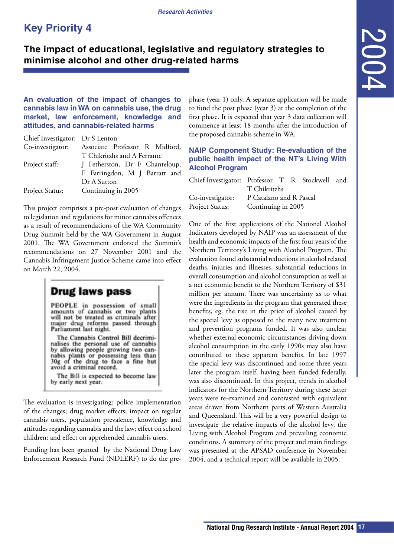### <span id="page-16-0"></span>**The impact of educational, legislative and regulatory strategies to minimise alcohol and other drug-related harms**

**An evaluation of the impact of changes to cannabis law in WA on cannabis use, the drug market, law enforcement, knowledge and attitudes, and cannabis-related harms**

| Chief Investigator: Dr S Lenton |                                |
|---------------------------------|--------------------------------|
| Co-investigator:                | Associate Professor R Midford, |
|                                 | T Chikritzhs and A Ferrante    |
| Project staff:                  | J Fetherston, Dr F Chanteloup, |
|                                 | F Farringdon, M J Barratt and  |
|                                 | Dr A Sutton                    |
| Project Status:                 | Continuing in 2005             |

This project comprises a pre-post evaluation of changes to legislation and regulations for minor cannabis offences as a result of recommendations of the WA Community Drug Summit held by the WA Government in August 2001. The WA Government endorsed the Summit's recommendations on 27 November 2001 and the Cannabis Infringement Justice Scheme came into effect on March 22, 2004.

### **Drug laws pass**

PEOPLE in possession of small amounts of cannabis or two plants<br>will not be treated as criminals after major drug reforms passed through Parliament last night.

The Cannabis Control Bill decriminalises the personal use of cannabis by allowing people growing two can-<br>nabis plants or possessing less than<br>30g of the drug to face a fine but avoid a criminal record.

The Bill is expected to become law by early next year.

The evaluation is investigating: police implementation of the changes; drug market effects; impact on regular cannabis users, population prevalence, knowledge and attitudes regarding cannabis and the law; effect on school children; and effect on apprehended cannabis users.

Funding has been granted by the National Drug Law Enforcement Research Fund (NDLERF) to do the prephase (year 1) only. A separate application will be made to fund the post phase (year 3) at the completion of the first phase. It is expected that year 3 data collection will commence at least 18 months after the introduction of the proposed cannabis scheme in WA.

### **NAIP Component Study: Re-evaluation of the public health impact of the NT's Living With Alcohol Program**

| Chief Investigator: Professor T R Stockwell and |                         |  |  |
|-------------------------------------------------|-------------------------|--|--|
|                                                 | T Chikritzhs            |  |  |
| Co-investigator:                                | P Catalano and R Pascal |  |  |
| Project Status: Continuing in 2005              |                         |  |  |

**National Properation Strategies to**<br> **National Drug As space application will be made<br>
the post phase (year 3) at the completion of the same. It is expected that year 3 data collection will<br>
eneve at least 18 months aft** One of the first applications of the National Alcohol Indicators developed by NAIP was an assessment of the health and economic impacts of the first four years of the Northern Territory's Living with Alcohol Program. The evaluation found substantial reductions in alcohol related deaths, injuries and illnesses, substantial reductions in overall consumption and alcohol consumption as well as a net economic benefit to the Northern Territory of \$31 million per annum. There was uncertainty as to what were the ingredients in the program that generated these benefits, eg. the rise in the price of alcohol caused by the special levy as opposed to the many new treatment and prevention programs funded. It was also unclear whether external economic circumstances driving down alcohol consumption in the early 1990s may also have contributed to these apparent benefits. In late 1997 the special levy was discontinued and some three years later the program itself, having been funded federally, was also discontinued. In this project, trends in alcohol indicators for the Northern Territory during these latter years were re-examined and contrasted with equivalent areas drawn from Northern parts of Western Australia and Queensland. This will be a very powerful design to investigate the relative impacts of the alcohol levy, the Living with Alcohol Program and prevailing economic conditions. A summary of the project and main findings was presented at the APSAD conference in November 2004, and a technical report will be available in 2005.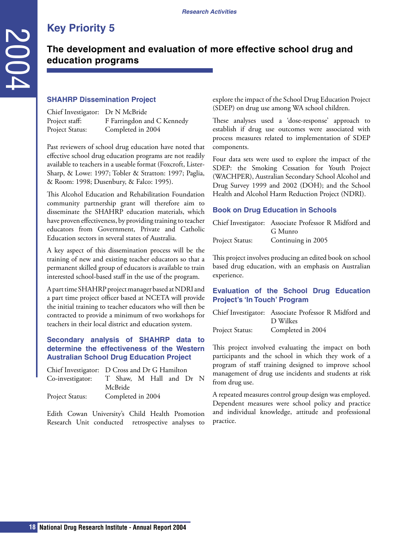### **The development and evaluation of more effective school drug and education programs**

### **SHAHRP Dissemination Project**

| Chief Investigator: Dr N McBride |                            |
|----------------------------------|----------------------------|
| Project staff:                   | F Farringdon and C Kennedy |
| Project Status:                  | Completed in 2004          |

Past reviewers of school drug education have noted that effective school drug education programs are not readily available to teachers in a useable format (Foxcroft, Lister-Sharp, & Lowe: 1997; Tobler & Stratton: 1997; Paglia, & Room: 1998; Dusenbury, & Falco: 1995).

<span id="page-17-0"></span>**188 • MANNET System Control and System Control and System Control Research Institute Christmaster Control Research Institute Christmaster Control Research Institute Christmaster (Section 2004) (Section 2004) (Section 2004** This Alcohol Education and Rehabilitation Foundation community partnership grant will therefore aim to disseminate the SHAHRP education materials, which have proven effectiveness, by providing training to teacher educators from Government, Private and Catholic Education sectors in several states of Australia.

A key aspect of this dissemination process will be the training of new and existing teacher educators so that a permanent skilled group of educators is available to train interested school-based staff in the use of the program.

A part time SHAHRP project manager based at NDRI and a part time project officer based at NCETA will provide the initial training to teacher educators who will then be contracted to provide a minimum of two workshops for teachers in their local district and education system.

### **Secondary analysis of SHAHRP data to determine the effectiveness of the Western Australian School Drug Education Project**

| Chief Investigator: D Cross and Dr G Hamilton |                   |  |  |  |
|-----------------------------------------------|-------------------|--|--|--|
| Co-investigator: T Shaw, M Hall and Dr N      |                   |  |  |  |
|                                               | McBride           |  |  |  |
| <b>Project Status:</b>                        | Completed in 2004 |  |  |  |

Edith Cowan University's Child Health Promotion Research Unit conducted retrospective analyses to explore the impact of the School Drug Education Project (SDEP) on drug use among WA school children.

These analyses used a 'dose-response' approach to establish if drug use outcomes were associated with process measures related to implementation of SDEP components.

Four data sets were used to explore the impact of the SDEP: the Smoking Cessation for Youth Project (WACHPER), Australian Secondary School Alcohol and Drug Survey 1999 and 2002 (DOH); and the School Health and Alcohol Harm Reduction Project (NDRI).

### **Book on Drug Education in Schools**

|                 | Chief Investigator: Associate Professor R Midford and |
|-----------------|-------------------------------------------------------|
|                 | G Munro                                               |
| Project Status: | Continuing in 2005                                    |

This project involves producing an edited book on school based drug education, with an emphasis on Australian experience.

### **Evaluation of the School Drug Education Project's 'In Touch' Program**

|                 | Chief Investigator: Associate Professor R Midford and |
|-----------------|-------------------------------------------------------|
|                 | D Wilkes                                              |
| Project Status: | Completed in 2004                                     |

This project involved evaluating the impact on both participants and the school in which they work of a program of staff training designed to improve school management of drug use incidents and students at risk from drug use.

A repeated measures control group design was employed. Dependent measures were school policy and practice and individual knowledge, attitude and professional practice.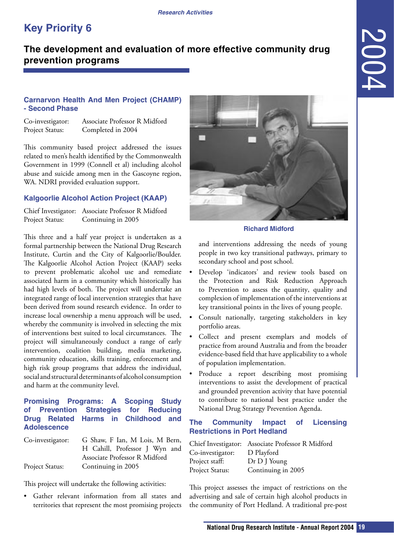### <span id="page-18-0"></span>**The development and evaluation of more effective community drug prevention programs**

### **Carnarvon Health And Men Project (CHAMP) - Second Phase**

| Co-investigator: | Associate Professor R Midford |
|------------------|-------------------------------|
| Project Status:  | Completed in 2004             |

This community based project addressed the issues related to men's health identified by the Commonwealth Government in 1999 (Connell et al) including alcohol abuse and suicide among men in the Gascoyne region, WA. NDRI provided evaluation support.

### **Kalgoorlie Alcohol Action Project (KAAP)**

Chief Investigator: Associate Professor R Midford Project Status: Continuing in 2005

This three and a half year project is undertaken as a formal partnership between the National Drug Research Institute, Curtin and the City of Kalgoorlie/Boulder. The Kalgoorlie Alcohol Action Project (KAAP) seeks to prevent problematic alcohol use and remediate associated harm in a community which historically has had high levels of both. The project will undertake an integrated range of local intervention strategies that have been derived from sound research evidence. In order to increase local ownership a menu approach will be used, whereby the community is involved in selecting the mix of interventions best suited to local circumstances. The project will simultaneously conduct a range of early intervention, coalition building, media marketing, community education, skills training, enforcement and high risk group programs that address the individual, social and structural determinants of alcohol consumption and harm at the community level.

### **Promising Programs: A Scoping Study of Prevention Strategies for Reducing Drug Related Harms in Childhood and Adolescence**

| Co-investigator: | G Shaw, F Ian, M Lois, M Bern, |
|------------------|--------------------------------|
|                  | H Cahill, Professor J Wyn and  |
|                  | Associate Professor R Midford  |
| Project Status:  | Continuing in 2005             |

This project will undertake the following activities:

• Gather relevant information from all states and territories that represent the most promising projects



#### **Richard Midford**

and interventions addressing the needs of young people in two key transitional pathways, primary to secondary school and post school.

- Develop 'indicators' and review tools based on the Protection and Risk Reduction Approach to Prevention to assess the quantity, quality and complexion of implementation of the interventions at key transitional points in the lives of young people.
- Consult nationally, targeting stakeholders in key portfolio areas.
- Collect and present exemplars and models of practice from around Australia and from the broader evidence-based field that have applicability to a whole of population implementation.
- Produce a report describing most promising interventions to assist the development of practical and grounded prevention activity that have potential to contribute to national best practice under the National Drug Strategy Prevention Agenda.

### **The Community Impact of Licensing Restrictions in Port Hedland**

|                  | Chief Investigator: Associate Professor R Midford |
|------------------|---------------------------------------------------|
| Co-investigator: | D Playford                                        |
| Project staff:   | Dr D J Young                                      |
| Project Status:  | Continuing in 2005                                |

This project assesses the impact of restrictions on the advertising and sale of certain high alcohol products in the community of Port Hedland. A traditional pre-post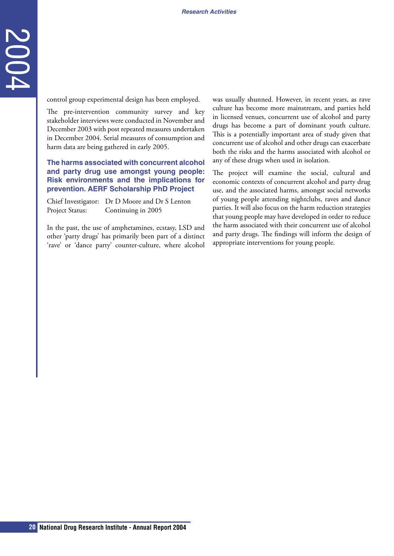control group experimental design has been employed.

**20 IV**<br> **20 Control control control control control control control of interviews were conducted in November 2003 with post reported meanster under the D-Conduct 2005. The harm data are being gathered in early 2005.<br>** The pre-intervention community survey and key stakeholder interviews were conducted in November and December 2003 with post repeated measures undertaken in December 2004. Serial measures of consumption and harm data are being gathered in early 2005.

**The harms associated with concurrent alcohol and party drug use amongst young people: Risk environments and the implications for prevention. AERF Scholarship PhD Project**

Chief Investigator: Dr D Moore and Dr S Lenton Project Status: Continuing in 2005

In the past, the use of amphetamines, ecstasy, LSD and other 'party drugs' has primarily been part of a distinct 'rave' or 'dance party' counter-culture, where alcohol was usually shunned. However, in recent years, as rave culture has become more mainstream, and parties held in licensed venues, concurrent use of alcohol and party drugs has become a part of dominant youth culture. This is a potentially important area of study given that concurrent use of alcohol and other drugs can exacerbate both the risks and the harms associated with alcohol or any of these drugs when used in isolation.

The project will examine the social, cultural and economic contexts of concurrent alcohol and party drug use, and the associated harms, amongst social networks of young people attending nightclubs, raves and dance parties. It will also focus on the harm reduction strategies that young people may have developed in order to reduce the harm associated with their concurrent use of alcohol and party drugs. The findings will inform the design of appropriate interventions for young people.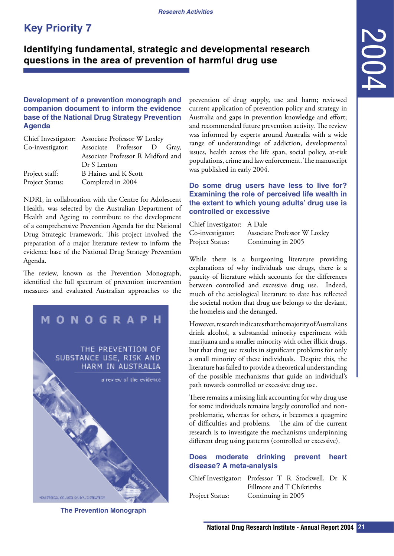### <span id="page-20-0"></span>**Identifying fundamental, strategic and developmental research questions in the area of prevention of harmful drug use**

### **Development of a prevention monograph and companion document to inform the evidence base of the National Drug Strategy Prevention Agenda**

| Chief Investigator: Associate Professor W Loxley |
|--------------------------------------------------|
| Associate Professor D Gray,                      |
| Associate Professor R Midford and                |
| Dr S Lenton                                      |
| B Haines and K Scott                             |
| Completed in 2004                                |
|                                                  |

NDRI, in collaboration with the Centre for Adolescent Health, was selected by the Australian Department of Health and Ageing to contribute to the development of a comprehensive Prevention Agenda for the National Drug Strategic Framework. This project involved the preparation of a major literature review to inform the evidence base of the National Drug Strategy Prevention Agenda.

The review, known as the Prevention Monograph, identified the full spectrum of prevention intervention measures and evaluated Australian approaches to the



**The Prevention Monograph**

**National Drug Research Institute - Annual Report 2004 21**2004 prevention of drug supply, use and harm; reviewed current application of prevention policy and strategy in Australia and gaps in prevention knowledge and effort; and recommended future prevention activity. The review was informed by experts around Australia with a wide range of understandings of addiction, developmental issues, health across the life span, social policy, at-risk populations, crime and law enforcement. The manuscript was published in early 2004.

### **Do some drug users have less to live for? Examining the role of perceived life wealth in the extent to which young adults' drug use is controlled or excessive**

| Chief Investigator: A Dale |                              |
|----------------------------|------------------------------|
| Co-investigator:           | Associate Professor W Loxley |
| Project Status:            | Continuing in 2005           |

While there is a burgeoning literature providing explanations of why individuals use drugs, there is a paucity of literature which accounts for the differences between controlled and excessive drug use. Indeed, much of the aetiological literature to date has reflected the societal notion that drug use belongs to the deviant, the homeless and the deranged.

However, research indicates that the majority of Australians drink alcohol, a substantial minority experiment with marijuana and a smaller minority with other illicit drugs, but that drug use results in significant problems for only a small minority of these individuals. Despite this, the literature has failed to provide a theoretical understanding of the possible mechanisms that guide an individual's path towards controlled or excessive drug use.

There remains a missing link accounting for why drug use for some individuals remains largely controlled and nonproblematic, whereas for others, it becomes a quagmire of difficulties and problems. The aim of the current research is to investigate the mechanisms underpinning different drug using patterns (controlled or excessive).

### **Does moderate drinking prevent heart disease? A meta-analysis**

Chief Investigator: Professor T R Stockwell, Dr K Fillmore and T Chikritzhs Project Status: Continuing in 2005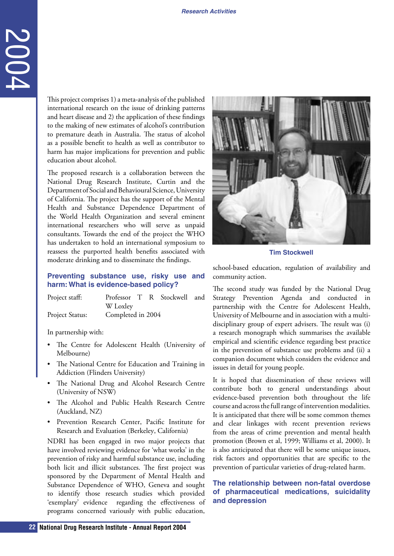This project comprises 1) a meta-analysis of the published international research on the issue of drinking patterns and heart disease and 2) the application of these findings to the making of new estimates of alcohol's contribution to premature death in Australia. The status of alcohol as a possible benefit to health as well as contributor to harm has major implications for prevention and public education about alcohol.

**22 Examples 12 Constant Constant Constant Constant Constant Constant Constant Constant Constant Constant Constant Constant Institute Constant Constant Constant Constant Constant Constant Constant Constant Constant Con** The proposed research is a collaboration between the National Drug Research Institute, Curtin and the Department of Social and Behavioural Science, University of California. The project has the support of the Mental Health and Substance Dependence Department of the World Health Organization and several eminent international researchers who will serve as unpaid consultants. Towards the end of the project the WHO has undertaken to hold an international symposium to reassess the purported health benefits associated with moderate drinking and to disseminate the findings.

#### **Preventing substance use, risky use and harm: What is evidence-based policy?**

| Project staff:         |                   |  | Professor T R Stockwell and |  |
|------------------------|-------------------|--|-----------------------------|--|
|                        | W Loxley          |  |                             |  |
| <b>Project Status:</b> | Completed in 2004 |  |                             |  |

In partnership with:

- The Centre for Adolescent Health (University of Melbourne)
- The National Centre for Education and Training in Addiction (Flinders University)
- The National Drug and Alcohol Research Centre (University of NSW)
- The Alcohol and Public Health Research Centre (Auckland, NZ)
- Prevention Research Center, Pacific Institute for Research and Evaluation (Berkeley, California)

NDRI has been engaged in two major projects that have involved reviewing evidence for 'what works' in the prevention of risky and harmful substance use, including both licit and illicit substances. The first project was sponsored by the Department of Mental Health and Substance Dependence of WHO, Geneva and sought to identify those research studies which provided 'exemplary' evidence regarding the effectiveness of programs concerned variously with public education,



**Tim Stockwell**

school-based education, regulation of availability and community action.

The second study was funded by the National Drug Strategy Prevention Agenda and conducted in partnership with the Centre for Adolescent Health, University of Melbourne and in association with a multidisciplinary group of expert advisers. The result was (i) a research monograph which summarises the available empirical and scientific evidence regarding best practice in the prevention of substance use problems and (ii) a companion document which considers the evidence and issues in detail for young people.

It is hoped that dissemination of these reviews will contribute both to general understandings about evidence-based prevention both throughout the life course and across the full range of intervention modalities. It is anticipated that there will be some common themes and clear linkages with recent prevention reviews from the areas of crime prevention and mental health promotion (Brown et al, 1999; Williams et al, 2000). It is also anticipated that there will be some unique issues, risk factors and opportunities that are specific to the prevention of particular varieties of drug-related harm.

### **The relationship between non-fatal overdose of pharmaceutical medications, suicidality and depression**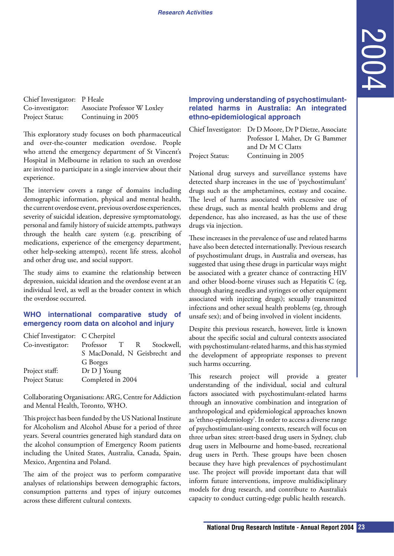| Chief Investigator: P Heale |                              |
|-----------------------------|------------------------------|
| Co-investigator:            | Associate Professor W Loxley |
| Project Status:             | Continuing in 2005           |

This exploratory study focuses on both pharmaceutical and over-the-counter medication overdose. People who attend the emergency department of St Vincent's Hospital in Melbourne in relation to such an overdose are invited to participate in a single interview about their experience.

The interview covers a range of domains including demographic information, physical and mental health, the current overdose event, previous overdose experiences, severity of suicidal ideation, depressive symptomatology, personal and family history of suicide attempts, pathways through the health care system (e.g. prescribing of medications, experience of the emergency department, other help-seeking attempts), recent life stress, alcohol and other drug use, and social support.

The study aims to examine the relationship between depression, suicidal ideation and the overdose event at an individual level, as well as the broader context in which the overdose occurred.

### **WHO international comparative study of emergency room data on alcohol and injury**

| Chief Investigator: C Cherpitel |                                |
|---------------------------------|--------------------------------|
| Co-investigator:                | T R<br>Professor<br>Stockwell, |
|                                 | S MacDonald, N Geisbrecht and  |
|                                 | G Borges                       |
| Project staff:                  | Dr D J Young                   |
| Project Status:                 | Completed in 2004              |
|                                 |                                |

Collaborating Organisations: ARG, Centre for Addiction and Mental Health, Toronto, WHO.

This project has been funded by the US National Institute for Alcoholism and Alcohol Abuse for a period of three years. Several countries generated high standard data on the alcohol consumption of Emergency Room patients including the United States, Australia, Canada, Spain, Mexico, Argentina and Poland.

The aim of the project was to perform comparative analyses of relationships between demographic factors, consumption patterns and types of injury outcomes across these different cultural contexts.

### **Improving understanding of psychostimulantrelated harms in Australia: An integrated ethno-epidemiological approach**

Chief Investigator: Dr D Moore, Dr P Dietze, Associate Project Status: Continuing in 2005

Professor L Maher, Dr G Bammer and Dr M C Clatts

National drug surveys and surveillance systems have detected sharp increases in the use of 'psychostimulant' drugs such as the amphetamines, ecstasy and cocaine. The level of harms associated with excessive use of these drugs, such as mental health problems and drug dependence, has also increased, as has the use of these drugs via injection.

These increases in the prevalence of use and related harms have also been detected internationally. Previous research of psychostimulant drugs, in Australia and overseas, has suggested that using these drugs in particular ways might be associated with a greater chance of contracting HIV and other blood-borne viruses such as Hepatitis C (eg, through sharing needles and syringes or other equipment associated with injecting drugs); sexually transmitted infections and other sexual health problems (eg, through unsafe sex); and of being involved in violent incidents.

Despite this previous research, however, little is known about the specific social and cultural contexts associated with psychostimulant-related harms, and this has stymied the development of appropriate responses to prevent such harms occurring.

**National State Constrainer (State Annual Reports of psychostimulated behavior in the Moore, Dr Drug Research Institute - Annual Drive Constrainer Scan<br>
Matterial Research Institute Construction and Dr M C Clause Construct** This research project will provide a greater understanding of the individual, social and cultural factors associated with psychostimulant-related harms through an innovative combination and integration of anthropological and epidemiological approaches known as 'ethno-epidemiology'. In order to access a diverse range of psychostimulant-using contexts, research will focus on three urban sites: street-based drug users in Sydney, club drug users in Melbourne and home-based, recreational drug users in Perth. These groups have been chosen because they have high prevalences of psychostimulant use. The project will provide important data that will inform future interventions, improve multidisciplinary models for drug research, and contribute to Australia's capacity to conduct cutting-edge public health research.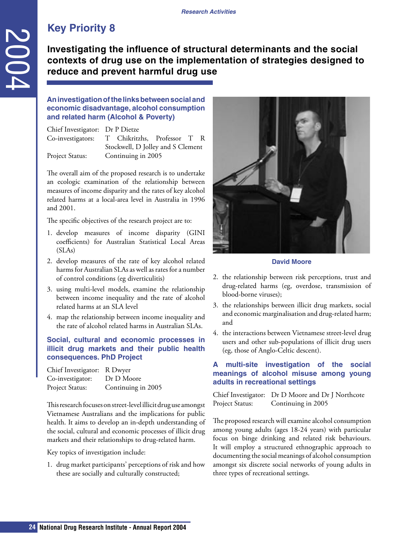**Investigating the influence of structural determinants and the social contexts of drug use on the implementation of strategies designed to reduce and prevent harmful drug use**

### **An investigation of the links between social and economic disadvantage, alcohol consumption and related harm (Alcohol & Poverty)**

Chief Investigator: Dr P Dietze Co-investigators: T Chikritzhs, Professor T R Stockwell, D Jolley and S Clement Project Status: Continuing in 2005

The overall aim of the proposed research is to undertake an ecologic examination of the relationship between measures of income disparity and the rates of key alcohol related harms at a local-area level in Australia in 1996 and 2001.

The specific objectives of the research project are to:

- 1. develop measures of income disparity (GINI coefficients) for Australian Statistical Local Areas  $(SLAs)$
- 2. develop measures of the rate of key alcohol related harms for Australian SLAs as well as rates for a number of control conditions (eg diverticulitis)
- 3. using multi-level models, examine the relationship between income inequality and the rate of alcohol related harms at an SLA level
- 4. map the relationship between income inequality and the rate of alcohol related harms in Australian SLAs.

### **Social, cultural and economic processes in illicit drug markets and their public health consequences. PhD Project**

| Chief Investigator: R Dwyer |                    |
|-----------------------------|--------------------|
| Co-investigator:            | Dr D Moore         |
| Project Status:             | Continuing in 2005 |

<span id="page-23-0"></span>**24 Example 12 Contracts of drug Research Material Research (and the minimizal Research Institute - Annual Report 2004<br>
Animostic gate on the improvement cliend harm (Alcohol & Poverty)<br>
Coinfressigncors: Dr Distersion** This research focuses on street-level illicit drug use amongst Vietnamese Australians and the implications for public health. It aims to develop an in-depth understanding of the social, cultural and economic processes of illicit drug markets and their relationships to drug-related harm.

Key topics of investigation include:

1. drug market participants' perceptions of risk and how these are socially and culturally constructed;



#### **David Moore**

- 2. the relationship between risk perceptions, trust and drug-related harms (eg, overdose, transmission of blood-borne viruses);
- 3. the relationships between illicit drug markets, social and economic marginalisation and drug-related harm; and
- 4. the interactions between Vietnamese street-level drug users and other sub-populations of illicit drug users (eg, those of Anglo-Celtic descent).

### **A multi-site investigation of the social meanings of alcohol misuse among young adults in recreational settings**

Chief Investigator: Dr D Moore and Dr J Northcote Project Status: Continuing in 2005

The proposed research will examine alcohol consumption among young adults (ages 18-24 years) with particular focus on binge drinking and related risk behaviours. It will employ a structured ethnographic approach to documenting the social meanings of alcohol consumption amongst six discrete social networks of young adults in three types of recreational settings.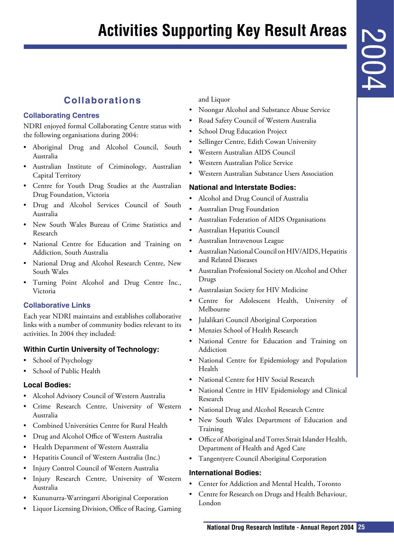# <span id="page-24-0"></span>**Activities Supporting Key Result Areas**

### **Collaborations**

### **Collaborating Centres**

NDRI enjoyed formal Collaborating Centre status with the following organisations during 2004:

- Aboriginal Drug and Alcohol Council, South Australia
- Australian Institute of Criminology, Australian Capital Territory
- Centre for Youth Drug Studies at the Australian Drug Foundation, Victoria
- Drug and Alcohol Services Council of South Australia
- New South Wales Bureau of Crime Statistics and Research
- National Centre for Education and Training on Addiction, South Australia
- National Drug and Alcohol Research Centre, New South Wales
- Turning Point Alcohol and Drug Centre Inc., Victoria

### **Collaborative Links**

Each year NDRI maintains and establishes collaborative links with a number of community bodies relevant to its activities. In 2004 they included:

### **Within Curtin University of Technology:**

- School of Psychology
- School of Public Health

### **Local Bodies:**

- Alcohol Advisory Council of Western Australia
- Crime Research Centre, University of Western Australia
- Combined Universities Centre for Rural Health
- Drug and Alcohol Office of Western Australia
- Health Department of Western Australia
- Hepatitis Council of Western Australia (Inc.)
- Injury Control Council of Western Australia
- Injury Research Centre, University of Western Australia
- Kununurra-Warringarri Aboriginal Corporation
- Liquor Licensing Division, Office of Racing, Gaming

and Liquor

- Noongar Alcohol and Substance Abuse Service
- Road Safety Council of Western Australia
- School Drug Education Project
- Sellinger Centre, Edith Cowan University
- Western Australian AIDS Council
- Western Australian Police Service
- Western Australian Substance Users Association

### **National and Interstate Bodies:**

- Alcohol and Drug Council of Australia
- Australian Drug Foundation
- Australian Federation of AIDS Organisations
- Australian Hepatitis Council
- Australian Intravenous League
- Australian National Council on HIV/AIDS, Hepatitis and Related Diseases
- Australian Professional Society on Alcohol and Other Drugs
- Australasian Society for HIV Medicine
- Centre for Adolescent Health, University of Melbourne
- Julalikari Council Aboriginal Corporation
- Menzies School of Health Research
- National Centre for Education and Training on Addiction
- National Centre for Epidemiology and Population Health
- National Centre for HIV Social Research
- **National Drug Research Institute Annual Report 2004**<br> **National Drug Education Project**<br>
and Safety Council of Western Australia<br>
image Catter, Ediath Cowan University<br>
image Cattern: Elistic Covar Divisering<br>
astern Au • National Centre in HIV Epidemiology and Clinical Research
- National Drug and Alcohol Research Centre
- New South Wales Department of Education and Training
- Office of Aboriginal and Torres Strait Islander Health, Department of Health and Aged Care
- Tangentyere Council Aboriginal Corporation

### **International Bodies:**

- Center for Addiction and Mental Health, Toronto
- Centre for Research on Drugs and Health Behaviour, London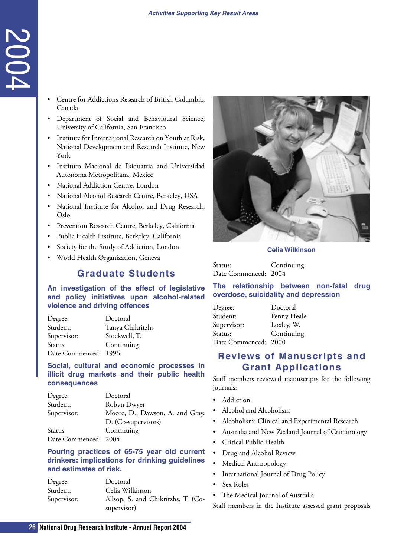- Centre for Addictions Research of British Columbia, Canada
- Department of Social and Behavioural Science, University of California, San Francisco
- Institute for International Research on Youth at Risk, National Development and Research Institute, New York
- Instituto Macional de Psiquatria and Universidad Autonoma Metropolitana, Mexico
- National Addiction Centre, London
- National Alcohol Research Centre, Berkeley, USA
- National Institute for Alcohol and Drug Research, Oslo
- Prevention Research Centre, Berkeley, California
- Public Health Institute, Berkeley, California
- Society for the Study of Addiction, London
- World Health Organization, Geneva

### **Graduate Students**

| Degree:              | Doctoral         |
|----------------------|------------------|
| Student:             | Tanya Chikritzhs |
| Supervisor:          | Stockwell, T.    |
| Status:              | Continuing       |
| Date Commenced: 1996 |                  |

<span id="page-25-0"></span>

| Centre for Addictions Research of British Columbia,<br>Canada<br>Department of Social and Behavioural Science,<br>University of California, San Francisco<br>Institute for International Research on Youth at Risk,<br>National Development and Research Institute, New<br>York<br>Instituto Macional de Psiquatria and Universidad<br>Autonoma Metropolitana, Mexico<br>National Addiction Centre, London<br>National Alcohol Research Centre, Berkeley, USA<br>National Institute for Alcohol and Drug Research,<br>Oslo<br>Prevention Research Centre, Berkeley, California<br>Public Health Institute, Berkeley, California |
|---------------------------------------------------------------------------------------------------------------------------------------------------------------------------------------------------------------------------------------------------------------------------------------------------------------------------------------------------------------------------------------------------------------------------------------------------------------------------------------------------------------------------------------------------------------------------------------------------------------------------------|
| Society for the Study of Addiction, London<br>World Health Organization, Geneva<br><b>Graduate Students</b>                                                                                                                                                                                                                                                                                                                                                                                                                                                                                                                     |
| An investigation of the effect of legislative<br>and policy initiatives upon alcohol-related<br>violence and driving offences<br>Doctoral<br>Degree:<br>Tanya Chikritzhs<br>Student:<br>Stockwell, T.<br>Supervisor:<br>Status:<br>Continuing<br>Date Commenced: 1996                                                                                                                                                                                                                                                                                                                                                           |
| Social, cultural and economic processes in<br>illicit drug markets and their public health<br>consequences                                                                                                                                                                                                                                                                                                                                                                                                                                                                                                                      |
| Doctoral<br>Degree:<br>Student:<br>Robyn Dwyer<br>Supervisor:<br>Moore, D.; Dawson, A. and Gray,<br>D. (Co-supervisors)<br>Continuing<br>Status:<br>2004<br>Date Commenced:                                                                                                                                                                                                                                                                                                                                                                                                                                                     |
| Pouring practices of 65-75 year old current<br>drinkers: implications for drinking guidelines<br>and estimates of risk.                                                                                                                                                                                                                                                                                                                                                                                                                                                                                                         |
| Doctoral<br>Degree:<br>Student:<br>Celia Wilkinson<br>Allsop, S. and Chikritzhs, T. (Co-<br>Supervisor:<br>supervisor)                                                                                                                                                                                                                                                                                                                                                                                                                                                                                                          |
| 26 National Drug Research Institute - Annual Report 2004                                                                                                                                                                                                                                                                                                                                                                                                                                                                                                                                                                        |

### **Pouring practices of 65-75 year old current drinkers: implications for drinking guidelines and estimates of risk.**

| Degree:     | Doctoral                           |
|-------------|------------------------------------|
| Student:    | Celia Wilkinson                    |
| Supervisor: | Allsop, S. and Chikritzhs, T. (Co- |
|             | supervisor)                        |



### **Celia Wilkinson**

Status: Continuing Date Commenced: 2004

### **The relationship between non-fatal drug overdose, suicidality and depression**

| Degree:              | Doctoral    |
|----------------------|-------------|
| Student:             | Penny Heale |
| Supervisor:          | Loxley, W.  |
| Status:              | Continuing  |
| Date Commenced: 2000 |             |

### **Reviews of Manuscripts and Grant Applications**

Staff members reviewed manuscripts for the following journals:

- Addiction
- Alcohol and Alcoholism
- Alcoholism: Clinical and Experimental Research
- Australia and New Zealand Journal of Criminology
- Critical Public Health
- Drug and Alcohol Review
- Medical Anthropology
- International Journal of Drug Policy
- Sex Roles
- The Medical Journal of Australia

Staff members in the Institute assessed grant proposals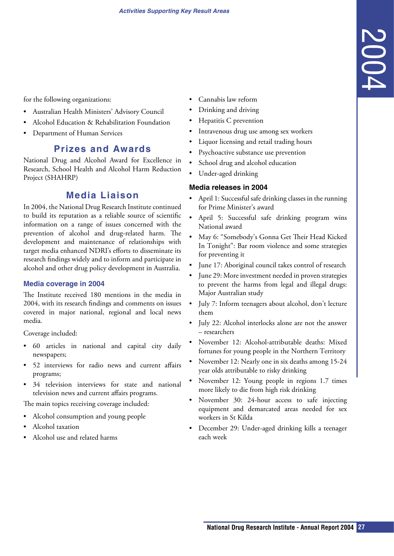<span id="page-26-0"></span>for the following organizations:

- Australian Health Ministers' Advisory Council
- Alcohol Education & Rehabilitation Foundation
- Department of Human Services

### **Prizes and Awards**

National Drug and Alcohol Award for Excellence in Research, School Health and Alcohol Harm Reduction Project (SHAHRP)

### **Media Liaison**

In 2004, the National Drug Research Institute continued to build its reputation as a reliable source of scientific information on a range of issues concerned with the prevention of alcohol and drug-related harm. The development and maintenance of relationships with target media enhanced NDRI's efforts to disseminate its research findings widely and to inform and participate in alcohol and other drug policy development in Australia.

#### **Media coverage in 2004**

The Institute received 180 mentions in the media in 2004, with its research findings and comments on issues covered in major national, regional and local news media.

Coverage included:

- 60 articles in national and capital city daily newspapers;
- 52 interviews for radio news and current affairs programs;
- 34 television interviews for state and national television news and current affairs programs.

The main topics receiving coverage included:

- Alcohol consumption and young people
- Alcohol taxation
- Alcohol use and related harms
- Cannabis law reform
- Drinking and driving
- Hepatitis C prevention
- Intravenous drug use among sex workers
- Liquor licensing and retail trading hours
- Psychoactive substance use prevention
- School drug and alcohol education
- Under-aged drinking

### **Media releases in 2004**

- April 1: Successful safe drinking classes in the running for Prime Minister's award
- April 5: Successful safe drinking program wins National award
- **National Scale (2004)**<br> **National Advisoring and action**<br> **National Drug Research Institute Annual Report 2004**<br> **Research Institute Annual Research Institute Annual Report 2004**<br> **CrossFigure 2004**<br> **CrossFigure In** • May 6: "Somebody's Gonna Get Their Head Kicked In Tonight": Bar room violence and some strategies for preventing it
- June 17: Aboriginal council takes control of research
- June 29: More investment needed in proven strategies to prevent the harms from legal and illegal drugs: Major Australian study
- July 7: Inform teenagers about alcohol, don't lecture them
- July 22: Alcohol interlocks alone are not the answer – researchers
- November 12: Alcohol-attributable deaths: Mixed fortunes for young people in the Northern Territory
- November 12: Nearly one in six deaths among 15-24 year olds attributable to risky drinking
- November 12: Young people in regions 1.7 times more likely to die from high risk drinking
- November 30: 24-hour access to safe injecting equipment and demarcated areas needed for sex workers in St Kilda
- December 29: Under-aged drinking kills a teenager each week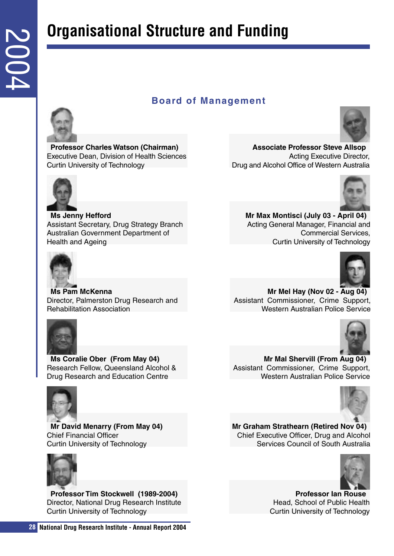## **Organisational Structure and Funding**

### **Board of Management**



**Associate Professor Steve Allsop** Acting Executive Director, Drug and Alcohol Office of Western Australia



<span id="page-27-0"></span>**28 Board**<br> **28 Board**<br> **28 Board**<br> **28 Board**<br> **28 Exactive Dean, Division of Health Sciences<br>
Curtin University of Technology<br>
<b>28 Ansistralian Government Department of**<br> **Assistralian Angeling Branch Associa Ms Jenny Hefford** Assistant Secretary, Drug Strategy Branch Australian Government Department of Health and Ageing

**Professor Charles Watson (Chairman)** Executive Dean, Division of Health Sciences

Curtin University of Technology



**Ms Pam McKenna** Director, Palmerston Drug Research and Rehabilitation Association



**Ms Coralie Ober (From May 04)** Research Fellow, Queensland Alcohol & Drug Research and Education Centre



**Mr David Menarry (From May 04)** Chief Financial Officer Curtin University of Technology



**Professor Tim Stockwell (1989-2004)** Director, National Drug Research Institute Curtin University of Technology



**Mr Max Montisci (July 03 - April 04)** Acting General Manager, Financial and Commercial Services, Curtin University of Technology



**Mr Mel Hay (Nov 02 - Aug 04)** Assistant Commissioner, Crime Support, Western Australian Police Service



**Mr Mal Shervill (From Aug 04)** Assistant Commissioner, Crime Support, Western Australian Police Service



**Mr Graham Strathearn (Retired Nov 04)** Chief Executive Officer, Drug and Alcohol Services Council of South Australia



**Professor Ian Rouse** Head, School of Public Health Curtin University of Technology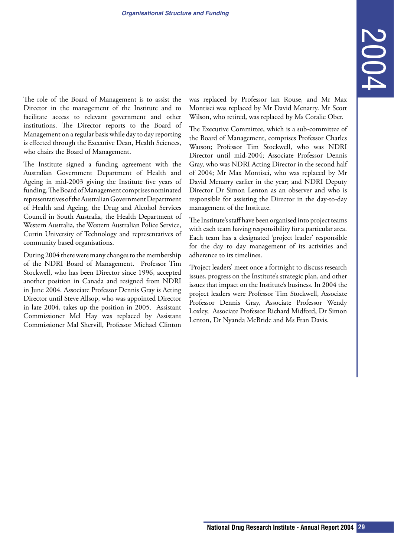The role of the Board of Management is to assist the Director in the management of the Institute and to facilitate access to relevant government and other institutions. The Director reports to the Board of Management on a regular basis while day to day reporting is effected through the Executive Dean, Health Sciences, who chairs the Board of Management.

The Institute signed a funding agreement with the Australian Government Department of Health and Ageing in mid-2003 giving the Institute five years of funding. The Board of Management comprises nominated representatives of the Australian Government Department of Health and Ageing, the Drug and Alcohol Services Council in South Australia, the Health Department of Western Australia, the Western Australian Police Service, Curtin University of Technology and representatives of community based organisations.

During 2004 there were many changes to the membership of the NDRI Board of Management. Professor Tim Stockwell, who has been Director since 1996, accepted another position in Canada and resigned from NDRI in June 2004. Associate Professor Dennis Gray is Acting Director until Steve Allsop, who was appointed Director in late 2004, takes up the position in 2005. Assistant Commissioner Mel Hay was replaced by Assistant Commissioner Mal Shervill, Professor Michael Clinton

was replaced by Professor Ian Rouse, and Mr Max Montisci was replaced by Mr David Menarry. Mr Scott Wilson, who retired, was replaced by Ms Coralie Ober.

placed by Professor Ian Rouse, and Mr Max<br>esi was replaced by Mr David Menary. Mr Scort<br>receive: Committence, which is a sub-committee of<br>exact Committee - And is a bull-committee of<br>turb (Committee Committee Committee Com The Executive Committee, which is a sub-committee of the Board of Management, comprises Professor Charles Watson; Professor Tim Stockwell, who was NDRI Director until mid-2004; Associate Professor Dennis Gray, who was NDRI Acting Director in the second half of 2004; Mr Max Montisci, who was replaced by Mr David Menarry earlier in the year; and NDRI Deputy Director Dr Simon Lenton as an observer and who is responsible for assisting the Director in the day-to-day management of the Institute.

The Institute's staff have been organised into project teams with each team having responsibility for a particular area. Each team has a designated 'project leader' responsible for the day to day management of its activities and adherence to its timelines.

'Project leaders' meet once a fortnight to discuss research issues, progress on the Institute's strategic plan, and other issues that impact on the Institute's business. In 2004 the project leaders were Professor Tim Stockwell, Associate Professor Dennis Gray, Associate Professor Wendy Loxley, Associate Professor Richard Midford, Dr Simon Lenton, Dr Nyanda McBride and Ms Fran Davis.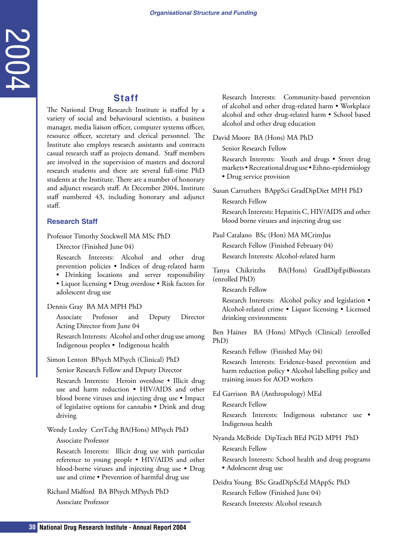### **Staff**

<span id="page-29-0"></span>**30 Staff**<br>
The National Drug Research Institute is staffer variety of social and behavioural scientizes, a b manager, redstations of<br>
meta-constrained histon offers compare system. An exame causal research and an experi The National Drug Research Institute is staffed by a variety of social and behavioural scientists, a business manager, media liaison officer, computer systems officer, resource officer, secretary and clerical personnel. The Institute also employs research assistants and contracts casual research staff as projects demand. Staff members are involved in the supervision of masters and doctoral research students and there are several full-time PhD students at the Institute. There are a number of honorary and adjunct research staff. At December 2004, Institute staff numbered 43, including honorary and adjunct staff.

#### **Research Staff**

Professor Timothy Stockwell MA MSc PhD

Director (Finished June 04)

Research Interests: Alcohol and other drug prevention policies • Indices of drug-related harm

• Drinking locations and server responsibility

• Liquor licensing • Drug overdose • Risk factors for adolescent drug use

Dennis Gray BA MA MPH PhD

Associate Professor and Deputy Director Acting Director from June 04

Research Interests: Alcohol and other drug use among Indigenous peoples • Indigenous health

Simon Lenton BPsych MPsych (Clinical) PhD

Senior Research Fellow and Deputy Director

Research Interests: Heroin overdose • Illicit drug use and harm reduction • HIV/AIDS and other blood borne viruses and injecting drug use • Impact of legislative options for cannabis • Drink and drug driving

Wendy Loxley CertTchg BA(Hons) MPsych PhD

### Associate Professor

Research Interests: Illicit drug use with particular reference to young people • HIV/AIDS and other blood-borne viruses and injecting drug use • Drug use and crime • Prevention of harmful drug use

Richard Midford BA BPsych MPsych PhD

Associate Professor

Research Interests: Community-based prevention of alcohol and other drug-related harm • Workplace alcohol and other drug-related harm • School based alcohol and other drug education

David Moore BA (Hons) MA PhD

Senior Research Fellow

Research Interests: Youth and drugs • Street drug markets • Recreational drug use • Ethno-epidemiology • Drug service provision

Susan Carruthers BAppSci GradDipDiet MPH PhD Research Fellow

Research Interests: Hepatitis C, HIV/AIDS and other blood borne viruses and injecting drug use

Paul Catalano BSc (Hon) MA MCrimJus Research Fellow (Finished February 04) Research Interests: Alcohol-related harm

Tanya Chikritzhs BA(Hons) GradDipEpiBiostats (enrolled PhD)

Research Fellow

Research Interests: Alcohol policy and legislation • Alcohol-related crime • Liquor licensing • Licensed drinking environments

Ben Haines BA (Hons) MPsych (Clinical) (enrolled PhD)

Research Fellow (Finished May 04)

Research Interests: Evidence-based prevention and harm reduction policy • Alcohol labelling policy and training issues for AOD workers

Ed Garrison BA (Anthropology) MEd

Research Fellow

Research Interests: Indigenous substance use • Indigenous health

#### Nyanda McBride DipTeach BEd PGD MPH PhD

Research Fellow

Research Interests: School health and drug programs • Adolescent drug use

Deidra Young BSc GradDipScEd MAppSc PhD Research Fellow (Finished June 04) Research Interests: Alcohol research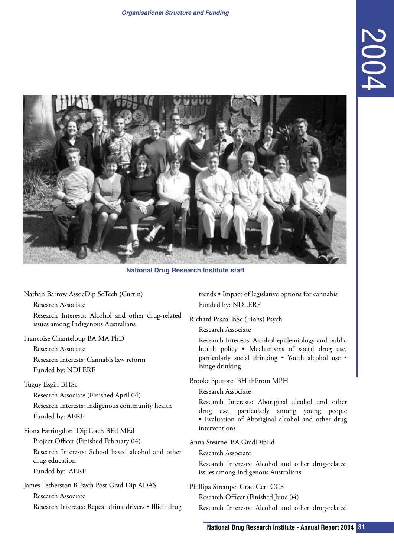

**National Drug Research Institute staff**

Nathan Barrow AssocDip ScTech (Curtin) Research Associate Research Interests: Alcohol and other drug-related

issues among Indigenous Australians Francoise Chanteloup BA MA PhD

Research Associate Research Interests: Cannabis law reform Funded by: NDLERF

### Tuguy Esgin BHSc

Research Associate (Finished April 04) Research Interests: Indigenous community health Funded by: AERF

Fiona Farringdon DipTeach BEd MEd

Project Officer (Finished February 04) Research Interests: School based alcohol and other drug education Funded by: AERF

James Fetherston BPsych Post Grad Dip ADAS Research Associate Research Interests: Repeat drink drivers • Illicit drug trends • Impact of legislative options for cannabis Funded by: NDLERF

Richard Pascal BSc (Hons) Psych

Research Associate

Research Interests: Alcohol epidemiology and public health policy • Mechanisms of social drug use, particularly social drinking • Youth alcohol use • Binge drinking

Brooke Sputore BHlthProm MPH

Research Associate

Research Interests: Aboriginal alcohol and other drug use, particularly among young people • Evaluation of Aboriginal alcohol and other drug interventions

### Anna Stearne BA GradDipEd

Research Associate

Research Interests: Alcohol and other drug-related issues among Indigenous Australians

Phillipa Strempel Grad Cert CCS

Research Officer (Finished June 04)

Research Interests: Alcohol and other drug-related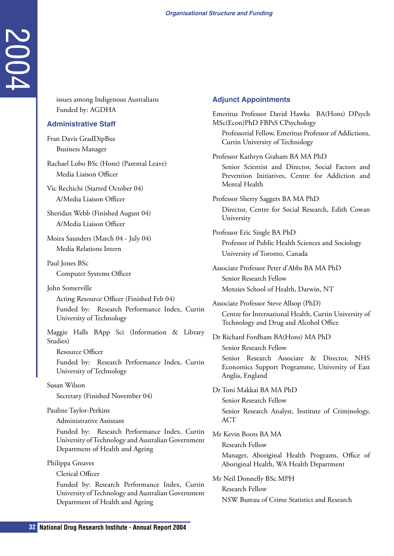issues among Indigenous Australians Funded by: AGDHA

### **Administrative Staff**

Fran Davis GradDipBus Business Manager

Rachael Lobo BSc (Hons) (Parental Leave) Media Liaison Officer

Vic Rechichi (Started October 04) A/Media Liaison Officer

Sheridan Webb (Finished August 04) A/Media Liaison Officer

Moira Saunders (March 04 - July 04) Media Relations Intern

Paul Jones BSc

Computer Systems Officer

John Somerville

**32 I** Issues among Indigenous Australians<br> **322 Antional by:** ACDH4<br> **322 Antional Drug Research Institute - Annual Report 2004<br>
<b>32 Research Institute - Annual Research Institute - Annual Research Institute - Annual** Acting Resource Officer (Finished Feb 04) Funded by: Research Performance Index, Curtin University of Technology

Maggie Halls BApp Sci (Information & Library Studies)

Resource Officer

Funded by: Research Performance Index, Curtin University of Technology

Susan Wilson Secretary (Finished November 04)

Pauline Taylor-Perkins

Administrative Assistant

Funded by: Research Performance Index, Curtin University of Technology and Australian Government Department of Health and Ageing

Philippa Greaves

Clerical Officer

Funded by: Research Performance Index, Curtin University of Technology and Australian Government Department of Health and Ageing

### **Adjunct Appointments**

Emeritus Professor David Hawks BA(Hons) DPsych MSc(Econ)PhD FBPsS CPsychology Professorial Fellow, Emeritus Professor of Addictions, Curtin University of Technology Professor Kathryn Graham BA MA PhD Senior Scientist and Director, Social Factors and Prevention Initiatives, Centre for Addiction and Mental Health Professor Sherry Saggers BA MA PhD Director, Centre for Social Research, Edith Cowan University Professor Eric Single BA PhD Professor of Public Health Sciences and Sociology University of Toronto, Canada Associate Professor Peter d'Abbs BA MA PhD Senior Research Fellow Menzies School of Health, Darwin, NT Associate Professor Steve Allsop (PhD) Centre for International Health, Curtin University of Technology and Drug and Alcohol Office Dr Richard Fordham BA(Hons) MA PhD Senior Research Fellow Senior Research Associate & Director, NHS Economics Support Programme, University of East Anglia, England Dr Toni Makkai BA MA PhD Senior Research Fellow Senior Research Analyst, Institute of Criminology, ACT Mr Kevin Boots BA MA Research Fellow Manager, Aboriginal Health Programs, Office of Aboriginal Health, WA Health Department Mr Neil Donnelly BSc MPH Research Fellow

NSW Bureau of Crime Statistics and Research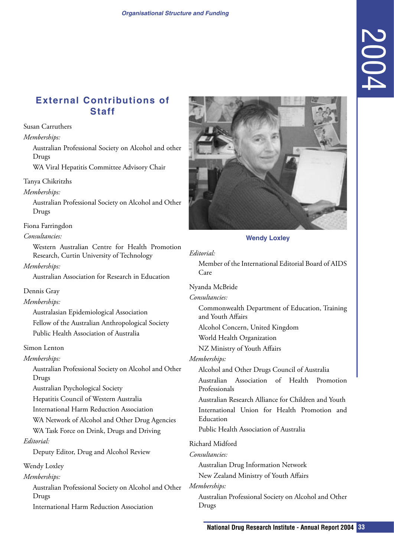### <span id="page-32-0"></span>**External Contributions of Staff**

Susan Carruthers

*Memberships:*

Australian Professional Society on Alcohol and other Drugs

WA Viral Hepatitis Committee Advisory Chair

Tanya Chikritzhs

*Memberships:*

Australian Professional Society on Alcohol and Other Drugs

Fiona Farringdon

*Consultancies:*

Western Australian Centre for Health Promotion Research, Curtin University of Technology

*Memberships:*

Australian Association for Research in Education

Dennis Gray

*Memberships:*

Australasian Epidemiological Association Fellow of the Australian Anthropological Society Public Health Association of Australia

Simon Lenton

*Memberships:*

Australian Professional Society on Alcohol and Other Drugs

Australian Psychological Society

Hepatitis Council of Western Australia

International Harm Reduction Association

WA Network of Alcohol and Other Drug Agencies

WA Task Force on Drink, Drugs and Driving *Editorial:*

Deputy Editor, Drug and Alcohol Review

Wendy Loxley

*Memberships:*

Australian Professional Society on Alcohol and Other Drugs

International Harm Reduction Association



**Wendy Loxley**

#### *Editorial:*

Member of the International Editorial Board of AIDS Care

Nyanda McBride

*Consultancies:*

Commonwealth Department of Education, Training and Youth Affairs

Alcohol Concern, United Kingdom

World Health Organization

NZ Ministry of Youth Affairs

*Memberships:*

Alcohol and Other Drugs Council of Australia

Australian Association of Health Promotion Professionals

Australian Research Alliance for Children and Youth International Union for Health Promotion and Education

Public Health Association of Australia

### Richard Midford

*Consultancies:*

Australian Drug Information Network New Zealand Ministry of Youth Affairs

### *Memberships:*

Australian Professional Society on Alcohol and Other Drugs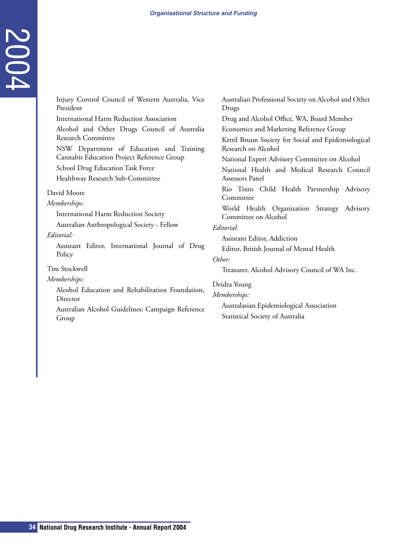| Injury Control Council of Western Australia, Vice<br>President<br><b>International Harm Reduction Association</b><br>Alcohol and Other Drugs Council of Australia<br><b>Research Committee</b><br>NSW Department of Education and Training<br>Cannabis Education Project Reference Group<br>School Drug Education Task Force<br>Healthway Research Sub-Committee<br>David Moore<br>Memberships:<br>International Harm Reduction Society<br>Australian Anthropological Society - Fellow<br>Editorial:<br>Assistant Editor, International Journal of Drug<br>Policy | Australian Professional Society on Alcohol and Other<br>Drugs<br>Drug and Alcohol Office, WA, Board Member<br>Economics and Marketing Reference Group<br>Kettil Bruun Society for Social and Epidemiological<br>Research on Alcohol<br>National Expert Advisory Committee on Alcohol<br>National Health and Medical Research Council<br>Assessors Panel<br>Rio Tinto Child Health Partnership Advisory<br>Committee<br>World Health Organization Strategy Advisory<br>Committee on Alcohol<br>Editorial:<br>Assistant Editor, Addiction<br>Editor, British Journal of Mental Health<br>Other: |
|-------------------------------------------------------------------------------------------------------------------------------------------------------------------------------------------------------------------------------------------------------------------------------------------------------------------------------------------------------------------------------------------------------------------------------------------------------------------------------------------------------------------------------------------------------------------|-----------------------------------------------------------------------------------------------------------------------------------------------------------------------------------------------------------------------------------------------------------------------------------------------------------------------------------------------------------------------------------------------------------------------------------------------------------------------------------------------------------------------------------------------------------------------------------------------|
| Tim Stockwell<br>Memberships:<br>Alcohol Education and Rehabilitation Foundation,<br>Director<br>Australian Alcohol Guidelines: Campaign Reference<br>Group                                                                                                                                                                                                                                                                                                                                                                                                       | Treasurer, Alcohol Advisory Council of WA Inc.<br>Deidra Young<br>Memberships:<br>Australasian Epidemiological Association<br>Statistical Society of Australia                                                                                                                                                                                                                                                                                                                                                                                                                                |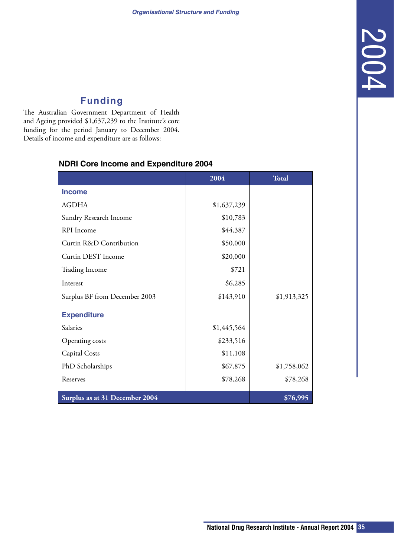### **Funding**

The Australian Government Department of Health and Ageing provided \$1,637,239 to the Institute's core funding for the period January to December 2004. Details of income and expenditure are as follows:

## **2004 Total Income** AGDHA \$1,637,239

<span id="page-34-0"></span>

|                                | <b>NDRI Core Income and Expenditure 2004</b><br>2004 | <b>Total</b> |
|--------------------------------|------------------------------------------------------|--------------|
| <b>Income</b>                  |                                                      |              |
| <b>AGDHA</b>                   | \$1,637,239                                          |              |
| Sundry Research Income         | \$10,783                                             |              |
| RPI Income                     | \$44,387                                             |              |
| Curtin R&D Contribution        | \$50,000                                             |              |
| Curtin DEST Income             | \$20,000                                             |              |
| Trading Income                 | \$721                                                |              |
| Interest                       | \$6,285                                              |              |
| Surplus BF from December 2003  | \$143,910                                            | \$1,913,325  |
| <b>Expenditure</b>             |                                                      |              |
| Salaries                       | \$1,445,564                                          |              |
| Operating costs                | \$233,516                                            |              |
| <b>Capital Costs</b>           | \$11,108                                             |              |
| PhD Scholarships               | \$67,875                                             | \$1,758,062  |
| Reserves                       | \$78,268                                             | \$78,268     |
| Surplus as at 31 December 2004 |                                                      | \$76,995     |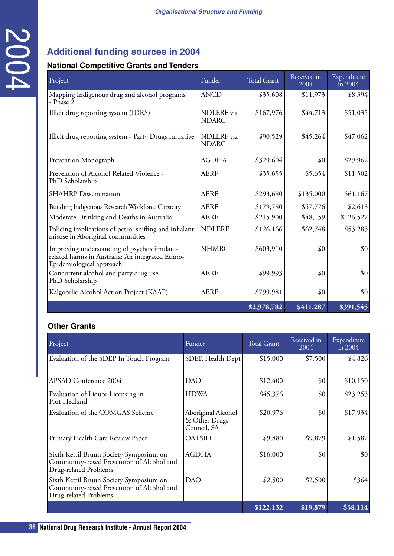### **Additional funding sources in 2004**

### **National Competitive Grants and Tenders**

| Project                                                                                                                      |            | Funder                              | <b>Total Grant</b> | Received in<br>2004 | Expenditure<br>$\ln 2004$  |
|------------------------------------------------------------------------------------------------------------------------------|------------|-------------------------------------|--------------------|---------------------|----------------------------|
| Mapping Indigenous drug and alcohol programs<br>- Phase 2                                                                    |            | <b>ANCD</b>                         | \$35,608           | \$11,973            | \$8,394                    |
| Illicit drug reporting system (IDRS)                                                                                         |            | NDLERF via<br><b>NDARC</b>          | \$167,976          | \$44,713            | \$51,035                   |
| Illicit drug reporting system - Party Drugs Initiative                                                                       |            | NDLERF via<br><b>NDARC</b>          | \$90,529           | \$45,264            | \$47,062                   |
| Prevention Monograph                                                                                                         |            | <b>AGDHA</b>                        | \$329,604          | \$0                 | \$29,962                   |
| Prevention of Alcohol Related Violence -<br>PhD Scholarship                                                                  |            | <b>AERF</b>                         | \$35,655           | \$5,654             | \$11,502                   |
| <b>SHAHRP</b> Dissemination                                                                                                  |            | <b>AERF</b>                         | \$293,680          | \$135,000           | \$61,167                   |
| Building Indigenous Research Workforce Capacity                                                                              |            |                                     | \$179,780          | \$57,776            | \$2,613                    |
| Moderate Drinking and Deaths in Australia                                                                                    |            | <b>AERF</b>                         | \$215,900          | \$48,159            | \$126,527                  |
| Policing implications of petrol sniffing and inhalant<br>misuse in Aboriginal communities                                    |            |                                     | \$126,166          | \$62,748            | \$53,283                   |
| Improving understanding of psychostimulant-<br>related harms in Australia: An integrated Ethno-<br>Epidemiological approach. |            | <b>NHMRC</b>                        | \$603,910          | \$0                 |                            |
| Concurrent alcohol and party drug use -<br>PhD Scholarship                                                                   |            | <b>AERF</b>                         | \$99,993           | \$0                 |                            |
| Kalgoorlie Alcohol Action Project (KAAP)                                                                                     |            | <b>AERF</b>                         | \$799,981          | \$0                 |                            |
|                                                                                                                              |            |                                     | \$2,978,782        | \$411,287           | \$391,545                  |
| Other Grants                                                                                                                 |            |                                     |                    |                     |                            |
| Project                                                                                                                      | Funder     |                                     | <b>Total Grant</b> | Received in<br>2004 | Expenditure<br>$\sin 2004$ |
| Evaluation of the SDEP In Touch Program                                                                                      |            | SDEP, Health Dept                   | \$15,000           | \$7,500             | \$4,826                    |
|                                                                                                                              | <b>DAO</b> |                                     | \$12,400           | \$0                 | \$10,150                   |
| <b>APSAD Conference 2004</b>                                                                                                 |            | <b>HDWA</b>                         | \$45,376           | \$0                 | \$23,253                   |
| Evaluation of Liquor Licensing in<br>Port Hedland                                                                            |            |                                     |                    | \$0                 | \$17,934                   |
| Evaluation of the COMGAS Scheme                                                                                              |            | Aboriginal Alcohol<br>& Other Drugs | \$20,976           |                     |                            |
| Primary Health Care Review Paper                                                                                             |            | Council, SA<br><b>OATSIH</b>        | \$9,880            | \$9,879             | \$1,587                    |
| Sixth Kettil Bruun Society Symposium on<br>Community-based Prevention of Alcohol and<br>Drug-related Problems                |            | <b>AGDHA</b>                        | \$16,000           | \$0                 |                            |
| Sixth Kettil Bruun Society Symposium on<br>Community-based Prevention of Alcohol and<br>Drug-related Problems                | <b>DAO</b> |                                     | \$2,500            | \$2,500             |                            |

### **Other Grants**

| Project                                                                                                       | Funder                                             | <b>Total Grant</b> | Received in<br>2004 | Expenditure<br>in $2004$ |
|---------------------------------------------------------------------------------------------------------------|----------------------------------------------------|--------------------|---------------------|--------------------------|
| Evaluation of the SDEP In Touch Program                                                                       | SDEP, Health Dept                                  | \$15,000           | \$7,500             | \$4,826                  |
| APSAD Conference 2004                                                                                         | <b>DAO</b>                                         | \$12,400           | \$0                 | \$10,150                 |
| Evaluation of Liquor Licensing in<br>Port Hedland                                                             | <b>HDWA</b>                                        | \$45,376           | \$0                 | \$23,253                 |
| Evaluation of the COMGAS Scheme                                                                               | Aboriginal Alcohol<br>& Other Drugs<br>Council, SA | \$20,976           | \$0                 | \$17,934                 |
| Primary Health Care Review Paper                                                                              | <b>OATSIH</b>                                      | \$9,880            | \$9,879             | \$1,587                  |
| Sixth Kettil Bruun Society Symposium on<br>Community-based Prevention of Alcohol and<br>Drug-related Problems | <b>AGDHA</b>                                       | \$16,000           | \$0                 | \$0                      |
| Sixth Kettil Bruun Society Symposium on<br>Community-based Prevention of Alcohol and<br>Drug-related Problems | <b>DAO</b>                                         | \$2,500            | \$2,500             | \$364                    |
|                                                                                                               |                                                    | \$122,132          | \$19,879            | \$58,114                 |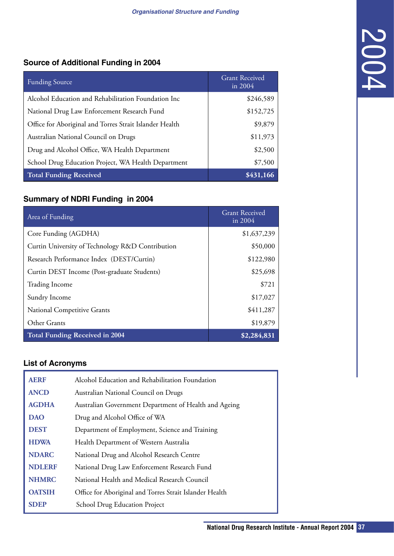### **Source of Additional Funding in 2004**

| <b>Funding Source</b>                                   | <b>Grant Received</b><br>in 2004 |
|---------------------------------------------------------|----------------------------------|
| Alcohol Education and Rehabilitation Foundation Inc     | \$246,589                        |
| National Drug Law Enforcement Research Fund             | \$152,725                        |
| Office for Aboriginal and Torres Strait Islander Health | \$9,879                          |
| Australian National Council on Drugs                    | \$11,973                         |
| Drug and Alcohol Office, WA Health Department           | \$2,500                          |
| School Drug Education Project, WA Health Department     | \$7,500                          |
| Total Funding Received                                  | \$431,166                        |

### **Summary of NDRI Funding in 2004**

| <b>Funding Source</b>         |                                                         | <b>Grant Received</b><br>in 2004 |
|-------------------------------|---------------------------------------------------------|----------------------------------|
|                               | Alcohol Education and Rehabilitation Foundation Inc     | \$246,589                        |
|                               | National Drug Law Enforcement Research Fund             | \$152,725                        |
|                               | Office for Aboriginal and Torres Strait Islander Health | \$9,879                          |
|                               | Australian National Council on Drugs                    | \$11,973                         |
|                               | Drug and Alcohol Office, WA Health Department           | \$2,500                          |
|                               | School Drug Education Project, WA Health Department     | \$7,500                          |
| <b>Total Funding Received</b> |                                                         | \$431,166                        |
|                               | <b>Summary of NDRI Funding in 2004</b>                  |                                  |
| Area of Funding               |                                                         | <b>Grant Received</b><br>in 2004 |
| Core Funding (AGDHA)          |                                                         | \$1,637,239                      |
|                               | Curtin University of Technology R&D Contribution        | \$50,000                         |
|                               | Research Performance Index (DEST/Curtin)                | \$122,980                        |
|                               | Curtin DEST Income (Post-graduate Students)             | \$25,698                         |
| <b>Trading Income</b>         |                                                         | \$721                            |
| Sundry Income                 |                                                         | \$17,027                         |
| National Competitive Grants   |                                                         | \$411,287                        |
| Other Grants                  |                                                         | \$19,879                         |
|                               | <b>Total Funding Received in 2004</b>                   | \$2,284,831                      |
| <b>List of Acronyms</b>       |                                                         |                                  |
| <b>AERF</b>                   | Alcohol Education and Rehabilitation Foundation         |                                  |
| <b>ANCD</b>                   | Australian National Council on Drugs                    |                                  |
| <b>AGDHA</b>                  | Australian Government Department of Health and Ageing   |                                  |
| <b>DAO</b>                    | Drug and Alcohol Office of WA                           |                                  |
| <b>DEST</b>                   | Department of Employment, Science and Training          |                                  |
| <b>HDWA</b>                   | Health Department of Western Australia                  |                                  |
|                               | National Drug and Alcohol Research Centre               |                                  |
| <b>NDARC</b>                  |                                                         |                                  |
| <b>NDLERF</b>                 | National Drug Law Enforcement Research Fund             |                                  |
| <b>NHMRC</b>                  | National Health and Medical Research Council            |                                  |
| <b>OATSIH</b>                 | Office for Aboriginal and Torres Strait Islander Health |                                  |

### **List of Acronyms**

| <b>AERF</b>   | Alcohol Education and Rehabilitation Foundation         |
|---------------|---------------------------------------------------------|
| <b>ANCD</b>   | Australian National Council on Drugs                    |
| <b>AGDHA</b>  | Australian Government Department of Health and Ageing   |
| <b>DAO</b>    | Drug and Alcohol Office of WA                           |
| <b>DEST</b>   | Department of Employment, Science and Training          |
| <b>HDWA</b>   | Health Department of Western Australia                  |
| <b>NDARC</b>  | National Drug and Alcohol Research Centre               |
| <b>NDLERF</b> | National Drug Law Enforcement Research Fund             |
| <b>NHMRC</b>  | National Health and Medical Research Council            |
| <b>OATSIH</b> | Office for Aboriginal and Torres Strait Islander Health |
| <b>SDEP</b>   | School Drug Education Project                           |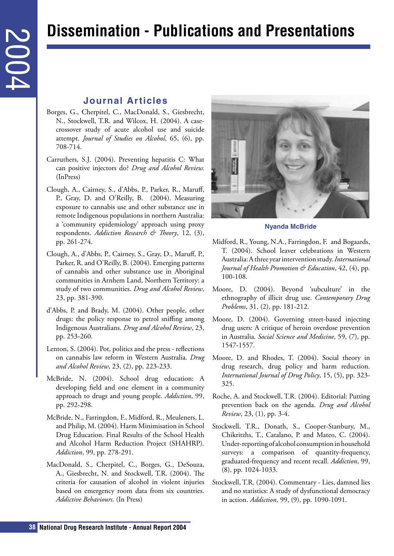## **Dissemination - Publications and Presentations**

### **Journal Articles**

- Borges, G., Cherpitel, C., MacDonald, S., Giesbrecht, N., Stockwell, T.R. and Wilcox, H. (2004). A casecrossover study of acute alcohol use and suicide attempt. *Journal of Studies on Alcohol*, 65, (6), pp. 708-714.
- Carruthers, S.J. (2004). Preventing hepatitis C: What can positive injectors do? *Drug and Alcohol Review.*  (InPress)
- <span id="page-37-0"></span>**388 11.388 11.48 11.48 11.48 12.48 36 36 National Articles Boggs, G.** Cheptel, C. MacDonal A.S. Geise<br>
89 **National Drug Research Institute Conducts 2004 2004 2004 2004 2004 2004 2004 200** Clough, A., Cairney, S., d'Abbs, P., Parker, R., Maruff, P., Gray, D. and O'Reilly, B. (2004). Measuring exposure to cannabis use and other substance use in remote Indigenous populations in northern Australia: a 'community epidemiology' approach using proxy respondents. *Addiction Research & Theory*, 12, (3), pp. 261-274.
	- Clough, A., d'Abbs, P., Cairney, S., Gray, D., Maruff, P., Parker, R. and O'Reilly, B. (2004). Emerging patterns of cannabis and other substance use in Aboriginal communities in Arnhem Land, Northern Territory: a study of two communities. *Drug and Alcohol Review*, 23, pp. 381-390.
	- d'Abbs, P. and Brady, M. (2004). Other people, other drugs: the policy response to petrol sniffing among Indigenous Australians. *Drug and Alcohol Review*, 23, pp. 253-260.
	- Lenton, S. (2004). Pot, politics and the press reflections on cannabis law reform in Western Australia. *Drug and Alcohol Review*, 23, (2), pp. 223-233.
	- McBride, N. (2004). School drug education: A developing field and one element in a community approach to drugs and young people. *Addiction*, 99, pp. 292-298.
	- McBride, N., Farringdon, F., Midford, R., Meuleners, L. and Philip, M. (2004). Harm Minimisation in School Drug Education. Final Results of the School Health and Alcohol Harm Reduction Project (SHAHRP). *Addiction*, 99, pp. 278-291.
	- MacDonald, S., Cherpitel, C., Borges, G., DeSouza, A., Giesbrecht, N. and Stockwell, T.R. (2004). The criteria for causation of alcohol in violent injuries based on emergency room data from six countries. *Addictive Behaviours.* (In Press)



**Nyanda McBride**

- Midford, R., Young, N.A., Farringdon, F. and Bogaards, T. (2004). School leaver celebrations in Western Australia: A three year intervention study. *International Journal of Health Promotion & Education*, 42, (4), pp. 100-108.
- Moore, D. (2004). Beyond 'subculture' in the ethnography of illicit drug use. *Contemporary Drug Problems*, 31, (2), pp. 181-212.
- Moore, D. (2004). Governing street-based injecting drug users: A critique of heroin overdose prevention in Australia. *Social Science and Medicine*, 59, (7), pp. 1547-1557.
- Moore, D. and Rhodes, T. (2004). Social theory in drug research, drug policy and harm reduction. *International Journal of Drug Policy*, 15, (5), pp. 323- 325.
- Roche, A. and Stockwell, T.R. (2004). Editorial: Putting prevention back on the agenda. *Drug and Alcohol Review*, 23, (1), pp. 3-4.
- Stockwell, T.R., Donath, S., Cooper-Stanbury, M., Chikritzhs, T., Catalano, P. and Mateo, C. (2004). Under-reporting of alcohol consumption in household surveys: a comparison of quantity-frequency, graduated-frequency and recent recall. *Addiction*, 99, (8), pp. 1024-1033.
- Stockwell, T.R. (2004). Commentary Lies, damned lies and no statistics: A study of dysfunctional democracy in action. *Addiction*, 99, (9), pp. 1090-1091.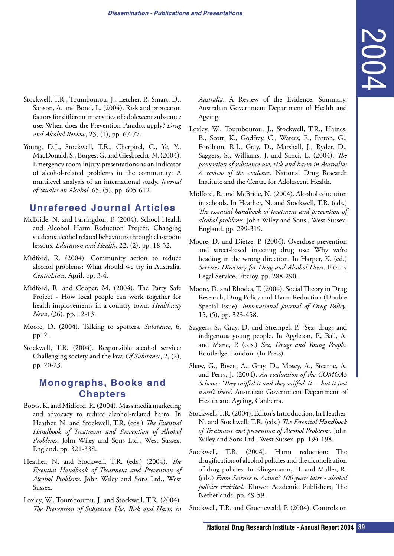- <span id="page-38-0"></span>Stockwell, T.R., Toumbourou, J., Letcher, P., Smart, D., Sanson, A. and Bond, L. (2004). Risk and protection factors for different intensities of adolescent substance use: When does the Prevention Paradox apply? *Drug and Alcohol Review*, 23, (1), pp. 67-77.
- Young, D.J., Stockwell, T.R., Cherpitel, C., Ye, Y., MacDonald, S., Borges, G. and Giesbrecht, N. (2004). Emergency room injury presentations as an indicator of alcohol-related problems in the community: A multilevel analysis of an international study. *Journal of Studies on Alcohol*, 65, (5), pp. 605-612.

### **Unrefereed Journal Articles**

- McBride, N. and Farringdon, F. (2004). School Health and Alcohol Harm Reduction Project. Changing students alcohol related behaviours through classroom lessons. *Education and Health*, 22, (2), pp. 18-32.
- Midford, R. (2004). Community action to reduce alcohol problems: What should we try in Australia. *CentreLines*, April, pp. 3-4.
- Midford, R. and Cooper, M. (2004). The Party Safe Project - How local people can work together for health improvements in a country town. *Healthway News*, (36). pp. 12-13.
- Moore, D. (2004). Talking to spotters. *Substance*, 6, pp. 2.
- Stockwell, T.R. (2004). Responsible alcohol service: Challenging society and the law. *Of Substance*, 2, (2), pp. 20-23.

### **Monographs, Books and Chapters**

- Boots, K. and Midford, R. (2004). Mass media marketing and advocacy to reduce alcohol-related harm. In Heather, N. and Stockwell, T.R. (eds.) *The Essential Handbook of Treatment and Prevention of Alcohol Problems*. John Wiley and Sons Ltd., West Sussex, England. pp. 321-338.
- Heather, N. and Stockwell, T.R. (eds.) (2004). *The Essential Handbook of Treatment and Prevention of Alcohol Problems*. John Wiley and Sons Ltd., West Sussex.
- Loxley, W., Toumbourou, J. and Stockwell, T.R. (2004). *The Prevention of Substance Use, Risk and Harm in*

*Australia*. A Review of the Evidence. Summary. Australian Government Department of Health and Ageing.

- *Matila.* A Review of the Evidence. Summary.<br> *Natila.* A Review of the Evidence. Summary.<br>
National Groenmount, D<sub>ra</sub> Drug Research TRI-H, Hizines,<br>
N. C. Controller, 12., Grodfrey, C., Waters, E., Parton, G.,<br>
Herban, R. Loxley, W., Toumbourou, J., Stockwell, T.R., Haines, B., Scott, K., Godfrey, C., Waters, E., Patton, G., Fordham, R.J., Gray, D., Marshall, J., Ryder, D., Saggers, S., Williams, J. and Sanci, L. (2004). *The prevention of substance use, risk and harm in Australia: A review of the evidence*. National Drug Research Institute and the Centre for Adolescent Health.
- Midford, R. and McBride, N. (2004). Alcohol education in schools. In Heather, N. and Stockwell, T.R. (eds.) *The essential handbook of treatment and prevention of alcohol problems*. John Wiley and Sons., West Sussex, England. pp. 299-319.
- Moore, D. and Dietze, P. (2004). Overdose prevention and street-based injecting drug use: Why we're heading in the wrong direction. In Harper, K. (ed.) *Services Directory for Drug and Alcohol Users*. Fitzroy Legal Service, Fitzroy. pp. 288-290.
- Moore, D. and Rhodes, T. (2004). Social Theory in Drug Research, Drug Policy and Harm Reduction (Double Special Issue). *International Journal of Drug Policy*, 15, (5), pp. 323-458.
- Saggers, S., Gray, D. and Strempel, P. Sex, drugs and indigenous young people. In Aggleton, P., Ball, A. and Mane, P. (eds.) *Sex, Drugs and Young People*. Routledge, London. (In Press)
- Shaw, G., Biven, A., Gray, D., Mosey, A., Stearne, A. and Perry, J. (2004). *An evaluation of the COMGAS Scheme: 'They sniffed it and they sniffed it – but it just wasn't there'*. Australian Government Department of Health and Ageing, Canberra.
- Stockwell, T.R. (2004). Editor's Introduction. In Heather, N. and Stockwell, T.R. (eds.) *The Essential Handbook of Treatment and prevention of Alcohol Problems*. John Wiley and Sons Ltd., West Sussex. pp. 194-198.
- Stockwell, T.R. (2004). Harm reduction: The drugification of alcohol policies and the alcoholisation of drug policies. In Klingemann, H. and Muller, R. (eds.) *From Science to Action? 100 years later - alcohol policies revisited*. Kluwer Academic Publishers, The Netherlands. pp. 49-59.

Stockwell, T.R. and Gruenewald, P. (2004). Controls on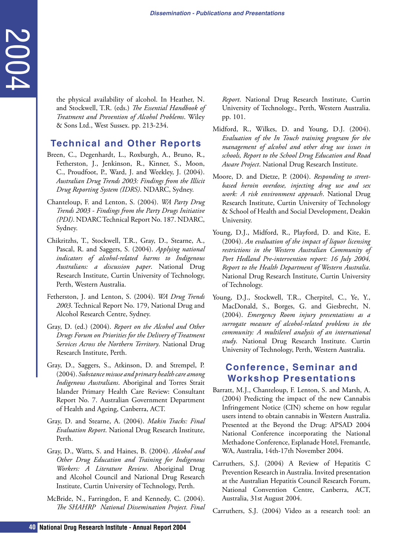the physical availability of alcohol. In Heather, N. and Stockwell, T.R. (eds.) *The Essential Handbook of Treatment and Prevention of Alcohol Problems*. Wiley & Sons Ltd., West Sussex. pp. 213-234.

### **Technical and Other Reports**

- Breen, C., Degenhardt, L., Roxburgh, A., Bruno, R., Fetherston, J., Jenkinson, R., Kinner, S., Moon, C., Proudfoot, P., Ward, J. and Weekley, J. (2004). *Australian Drug Trends 2003: Findings from the Illicit Drug Reporting System (IDRS)*. NDARC, Sydney.
- Chanteloup, F. and Lenton, S. (2004). *WA Party Drug Trends 2003 - Findings from the Party Drugs Initiative (PDI)*. NDARC Technical Report No. 187. NDARC, Sydney.
- Chikritzhs, T., Stockwell, T.R., Gray, D., Stearne, A., Pascal, R. and Saggers, S. (2004). *Applying national indicators of alcohol-related harms to Indigenous Australians: a discussion paper*. National Drug Research Institute, Curtin University of Technology, Perth, Western Australia.
- Fetherston, J. and Lenton, S. (2004). *WA Drug Trends 2003*. Technical Report No. 179, National Drug and Alcohol Research Centre, Sydney.
- Gray, D. (ed.) (2004). *Report on the Alcohol and Other Drugs Forum on Priorities for the Delivery of Treatment Services Across the Northern Territory*. National Drug Research Institute, Perth.
- <span id="page-39-0"></span>**10** the physical availability of alcohol. In Heath and Succiousline and Succiousline Channel Hand Treatment and Presention of Alcohol Problems.<br> **40 From Case 11.4**, West Susect. pp. 213-234. **Technical Annual Annual Re** Gray, D., Saggers, S., Atkinson, D. and Strempel, P. (2004). *Substance misuse and primary health care among Indigenous Australians*. Aboriginal and Torres Strait Islander Primary Health Care Review: Consultant Report No. 7. Australian Government Department of Health and Ageing, Canberra, ACT.
	- Gray, D. and Stearne, A. (2004). *Makin Tracks: Final Evaluation Report*. National Drug Research Institute, Perth.
	- Gray, D., Watts, S. and Haines, B. (2004). *Alcohol and Other Drug Education and Training for Indigenous Workers: A Literature Review*. Aboriginal Drug and Alcohol Council and National Drug Research Institute, Curtin University of Technology, Perth.
	- McBride, N., Farringdon, F. and Kennedy, C. (2004). *The SHAHRP National Dissemination Project. Final*

*Report*. National Drug Research Institute, Curtin University of Technology., Perth, Western Australia. pp. 101.

- Midford, R., Wilkes, D. and Young, D.J. (2004). *Evaluation of the In Touch training program for the management of alcohol and other drug use issues in schools, Report to the School Drug Education and Road Aware Project*. National Drug Research Institute.
- Moore, D. and Dietze, P. (2004). *Responding to streetbased heroin overdose, injecting drug use and sex work: A risk environment approach*. National Drug Research Institute, Curtin University of Technology & School of Health and Social Development, Deakin University.
- Young, D.J., Midford, R., Playford, D. and Kite, E. (2004). *An evaluation of the impact of liquor licensing restrictions in the Western Australian Community of Port Hedland Pre-intervention report: 16 July 2004, Report to the Health Department of Western Australia*. National Drug Research Institute, Curtin University of Technology.
- Young, D.J., Stockwell, T.R., Cherpitel, C., Ye, Y., MacDonald, S., Borges, G. and Giesbrecht, N. (2004). *Emergency Room injury presentations as a surrogate measure of alcohol-related problems in the community: A multilevel analysis of an international study*. National Drug Research Institute. Curtin University of Technology, Perth, Western Australia.

### **Conference, Seminar and Workshop Presentations**

- Barratt, M.J., Chanteloup, F. Lenton, S. and Marsh, A. (2004) Predicting the impact of the new Cannabis Infringement Notice (CIN) scheme on how regular users intend to obtain cannabis in Western Australia. Presented at the Beyond the Drug: APSAD 2004 National Conference incorporating the National Methadone Conference, Esplanade Hotel, Fremantle, WA, Australia, 14th-17th November 2004.
- Carruthers, S.J. (2004) A Review of Hepatitis C Prevention Research in Australia. Invited presentation at the Australian Hepatitis Council Research Forum, National Convention Centre, Canberra, ACT, Australia, 31st August 2004.
- Carruthers, S.J. (2004) Video as a research tool: an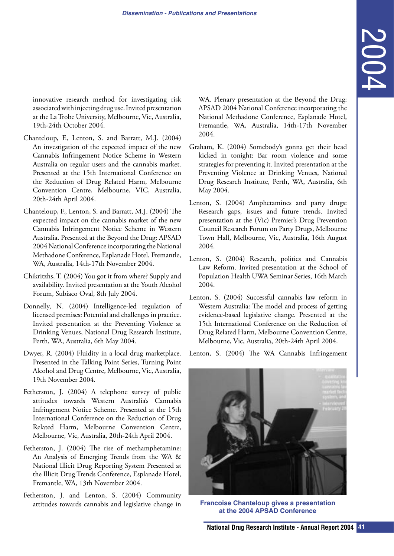innovative research method for investigating risk associated with injecting drug use. Invited presentation at the La Trobe University, Melbourne, Vic, Australia, 19th-24th October 2004.

- Chanteloup, F., Lenton, S. and Barratt, M.J. (2004) An investigation of the expected impact of the new Cannabis Infringement Notice Scheme in Western Australia on regular users and the cannabis market. Presented at the 15th International Conference on the Reduction of Drug Related Harm, Melbourne Convention Centre, Melbourne, VIC, Australia, 20th-24th April 2004.
- Chanteloup, F., Lenton, S. and Barratt, M.J. (2004) The expected impact on the cannabis market of the new Cannabis Infringement Notice Scheme in Western Australia. Presented at the Beyond the Drug: APSAD 2004 National Conference incorporating the National Methadone Conference, Esplanade Hotel, Fremantle, WA, Australia, 14th-17th November 2004.
- Chikritzhs, T. (2004) You got it from where? Supply and availability. Invited presentation at the Youth Alcohol Forum, Subiaco Oval, 8th July 2004.
- Donnelly, N. (2004) Intelligence-led regulation of licensed premises: Potential and challenges in practice. Invited presentation at the Preventing Violence at Drinking Venues, National Drug Research Institute, Perth, WA, Australia, 6th May 2004.
- Dwyer, R. (2004) Fluidity in a local drug marketplace. Presented in the Talking Point Series, Turning Point Alcohol and Drug Centre, Melbourne, Vic, Australia, 19th November 2004.
- Fetherston, J. (2004) A telephone survey of public attitudes towards Western Australia's Cannabis Infringement Notice Scheme. Presented at the 15th International Conference on the Reduction of Drug Related Harm, Melbourne Convention Centre, Melbourne, Vic, Australia, 20th-24th April 2004.
- Fetherston, J. (2004) The rise of methamphetamine: An Analysis of Emerging Trends from the WA & National Illicit Drug Reporting System Presented at the Illicit Drug Trends Conference, Esplanade Hotel, Fremantle, WA, 13th November 2004.
- Fetherston, J. and Lenton, S. (2004) Community attitudes towards cannabis and legislative change in

WA. Plenary presentation at the Beyond the Drug: APSAD 2004 National Conference incorporating the National Methadone Conference, Esplanade Hotel, Fremantle, WA, Australia, 14th-17th November 2004.

- Graham, K. (2004) Somebody's gonna get their head kicked in tonight: Bar room violence and some strategies for preventing it. Invited presentation at the Preventing Violence at Drinking Venues, National Drug Research Institute, Perth, WA, Australia, 6th May 2004.
- Lenton, S. (2004) Amphetamines and party drugs: Research gaps, issues and future trends. Invited presentation at the (Vic) Premier's Drug Prevention Council Research Forum on Party Drugs, Melbourne Town Hall, Melbourne, Vic, Australia, 16th August 2004.
- Lenton, S. (2004) Research, politics and Cannabis Law Reform. Invited presentation at the School of Population Health UWA Seminar Series, 16th March 2004.
- Lenton, S. (2004) Successful cannabis law reform in Western Australia: The model and process of getting evidence-based legislative change. Presented at the 15th International Conference on the Reduction of Drug Related Harm, Melbourne Convention Centre, Melbourne, Vic, Australia, 20th-24th April 2004.

Lenton, S. (2004) The WA Cannabis Infringement



**Francoise Chanteloup gives a presentation at the 2004 APSAD Conference**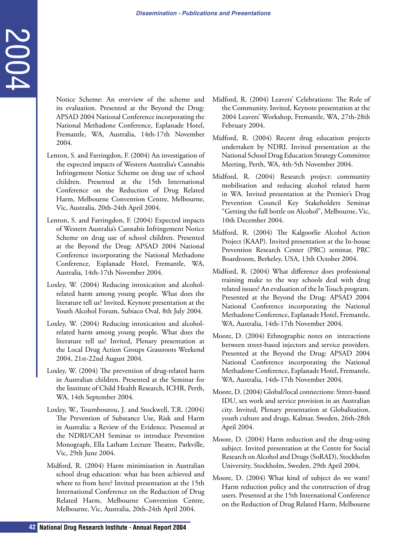Notice Scheme: An overview of the scheme and its evaluation. Presented at the Beyond the Drug: APSAD 2004 National Conference incorporating the National Methadone Conference, Esplanade Hotel, Fremantle, WA, Australia, 14th-17th November 2004.

- **12 Notice Scheme:** An onewirw of the scheme and Newtonial Conference incorporation Conference incorporation Conference incorporation Conference incorporation Conference incorporation Conference incorporation 2004, Austr Lenton, S. and Farringdon, F. (2004) An investigation of the expected impacts of Western Australia's Cannabis Infringement Notice Scheme on drug use of school children. Presented at the 15th International Conference on the Reduction of Drug Related Harm, Melbourne Convention Centre, Melbourne, Vic, Australia, 20th-24th April 2004.
	- Lenton, S. and Farringdon, F. (2004) Expected impacts of Western Australia's Cannabis Infringement Notice Scheme on drug use of school children. Presented at the Beyond the Drug: APSAD 2004 National Conference incorporating the National Methadone Conference, Esplanade Hotel, Fremantle, WA, Australia, 14th-17th November 2004.
	- Loxley, W. (2004) Reducing intoxication and alcoholrelated harm among young people. What does the literature tell us? Invited, Keynote presentation at the Youth Alcohol Forum, Subiaco Oval, 8th July 2004.
	- Loxley, W. (2004) Reducing intoxication and alcoholrelated harm among young people. What does the literature tell us? Invited, Plenary presentation at the Local Drug Action Groups Grassroots Weekend 2004, 21st-22nd August 2004.
	- Loxley, W. (2004) The prevention of drug-related harm in Australian children. Presented at the Seminar for the Institute of Child Health Research, ICHR, Perth, WA, 14th September 2004.
	- Loxley, W., Toumbourou, J. and Stockwell, T.R. (2004) The Prevention of Substance Use, Risk and Harm in Australia: a Review of the Evidence. Presented at the NDRI/CAH Seminar to introduce Prevention Monograph, Ella Latham Lecture Theatre, Parkville, Vic, 29th June 2004.
	- Midford, R. (2004) Harm minimisation in Australian school drug education: what has been achieved and where to from here? Invited presentation at the 15th International Conference on the Reduction of Drug Related Harm, Melbourne Convention Centre, Melbourne, Vic, Australia, 20th-24th April 2004.
- Midford, R. (2004) Leavers' Celebrations: The Role of the Community. Invited, Keynote presentation at the 2004 Leavers' Workshop, Fremantle, WA, 27th-28th February 2004.
- Midford, R. (2004) Recent drug education projects undertaken by NDRI. Invited presentation at the National School Drug Education Strategy Committee Meeting, Perth, WA, 4th-5th November 2004.
- Midford, R. (2004) Research project: community mobilisation and reducing alcohol related harm in WA. Invited presentation at the Premier's Drug Prevention Council Key Stakeholders Seminar "Getting the full bottle on Alcohol", Melbourne, Vic, 10th December 2004.
- Midford, R. (2004) The Kalgoorlie Alcohol Action Project (KAAP). Invited presentation at the In-house Prevention Research Center (PRC) seminar, PRC Boardroom, Berkeley, USA, 13th October 2004.
- Midford, R. (2004) What difference does professional training make to the way schools deal with drug related issues? An evaluation of the In Touch program. Presented at the Beyond the Drug: APSAD 2004 National Conference incorporating the National Methadone Conference, Esplanade Hotel, Fremantle, WA, Australia, 14th-17th November 2004.
- Moore, D. (2004) Ethnographic notes on interactions between street-based injectors and service providers. Presented at the Beyond the Drug: APSAD 2004 National Conference incorporating the National Methadone Conference, Esplanade Hotel, Fremantle, WA, Australia, 14th-17th November 2004.
- Moore, D. (2004) Global/local connections: Street-based IDU, sex work and service provision in an Australian city. Invited, Plenary presentation at Globalization, youth culture and drugs, Kalmar, Sweden, 26th-28th April 2004.
- Moore, D. (2004) Harm reduction and the drug-using subject. Invited presentation at the Centre for Social Research on Alcohol and Drugs (SoRAD), Stockholm University, Stockholm, Sweden, 29th April 2004.
- Moore, D. (2004) What kind of subject do we want? Harm reduction policy and the construction of drug users. Presented at the 15th International Conference on the Reduction of Drug Related Harm, Melbourne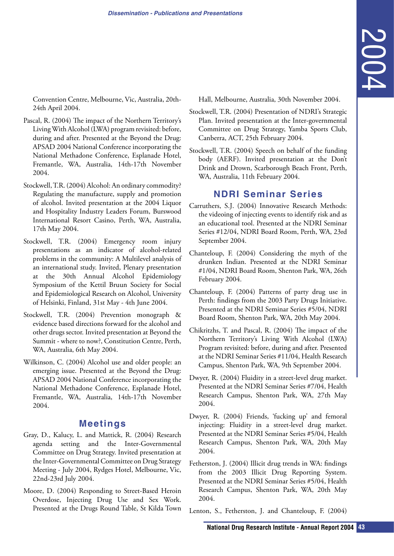<span id="page-42-0"></span>Convention Centre, Melbourne, Vic, Australia, 20th-24th April 2004.

- Pascal, R. (2004) The impact of the Northern Territory's Living With Alcohol (LWA) program revisited: before, during and after. Presented at the Beyond the Drug: APSAD 2004 National Conference incorporating the National Methadone Conference, Esplanade Hotel, Fremantle, WA, Australia, 14th-17th November 2004.
- Stockwell, T.R. (2004) Alcohol: An ordinary commodity? Regulating the manufacture, supply and promotion of alcohol. Invited presentation at the 2004 Liquor and Hospitality Industry Leaders Forum, Burswood International Resort Casino, Perth, WA, Australia, 17th May 2004.
- Stockwell, T.R. (2004) Emergency room injury presentations as an indicator of alcohol-related problems in the community: A Multilevel analysis of an international study. Invited, Plenary presentation at the 30th Annual Alcohol Epidemiology Symposium of the Kettil Bruun Society for Social and Epidemiological Research on Alcohol, University of Helsinki, Finland, 31st May - 4th June 2004.
- Stockwell, T.R. (2004) Prevention monograph & evidence based directions forward for the alcohol and other drugs sector. Invited presentation at Beyond the Summit - where to now?, Constitution Centre, Perth, WA, Australia, 6th May 2004.
- Wilkinson, C. (2004) Alcohol use and older people: an emerging issue. Presented at the Beyond the Drug: APSAD 2004 National Conference incorporating the National Methadone Conference, Esplanade Hotel, Fremantle, WA, Australia, 14th-17th November 2004.

### **Meetings**

- Gray, D., Kalucy, L. and Mattick, R. (2004) Research agenda setting and the Inter-Governmental Committee on Drug Strategy. Invited presentation at the Inter-Governmental Committee on Drug Strategy Meeting - July 2004, Rydges Hotel, Melbourne, Vic, 22nd-23rd July 2004.
- Moore, D. (2004) Responding to Street-Based Heroin Overdose, Injecting Drug Use and Sex Work. Presented at the Drugs Round Table, St Kilda Town

Hall, Melbourne, Australia, 30th November 2004.

- Stockwell, T.R. (2004) Presentation of NDRI's Strategic Plan. Invited presentation at the Inter-governmental Committee on Drug Strategy, Yamba Sports Club, Canberra, ACT, 25th February 2004.
- Stockwell, T.R. (2004) Speech on behalf of the funding body (AERF). Invited presentation at the Don't Drink and Drown, Scarborough Beach Front, Perth, WA, Australia, 11th February 2004.

### **NDRI Seminar Series**

- Carruthers, S.J. (2004) Innovative Research Methods: the videoing of injecting events to identify risk and as an educational tool. Presented at the NDRI Seminar Series #12/04, NDRI Board Room, Perth, WA, 23rd September 2004.
- Chanteloup, F. (2004) Considering the myth of the drunken Indian. Presented at the NDRI Seminar #1/04, NDRI Board Room, Shenton Park, WA, 26th February 2004.
- Chanteloup, F. (2004) Patterns of party drug use in Perth: findings from the 2003 Party Drugs Initiative. Presented at the NDRI Seminar Series #5/04, NDRI Board Room, Shenton Park, WA, 20th May 2004.
- Chikritzhs, T. and Pascal, R. (2004) The impact of the Northern Territory's Living With Alcohol (LWA) Program revisited: before, during and after. Presented at the NDRI Seminar Series #11/04, Health Research Campus, Shenton Park, WA, 9th September 2004.
- Dwyer, R. (2004) Fluidity in a street-level drug market. Presented at the NDRI Seminar Series #7/04, Health Research Campus, Shenton Park, WA, 27th May 2004.
- Dwyer, R. (2004) Friends, 'fucking up' and femoral injecting: Fluidity in a street-level drug market. Presented at the NDRI Seminar Series #5/04, Health Research Campus, Shenton Park, WA, 20th May 2004.
- **II**, Melbourne, Australia, 30th November 2004.<br>
well, T.R. (2004) Presentation of NDRI's Structure is Drug Structure in Drug Structure is the later governmental<br>
munitee on Drug Structury, Yamba Sports Club,<br>
well, T.R. ( Fetherston, J. (2004) Illicit drug trends in WA: findings from the 2003 Illicit Drug Reporting System. Presented at the NDRI Seminar Series #5/04, Health Research Campus, Shenton Park, WA, 20th May 2004.
- Lenton, S., Fetherston, J. and Chanteloup, F. (2004)